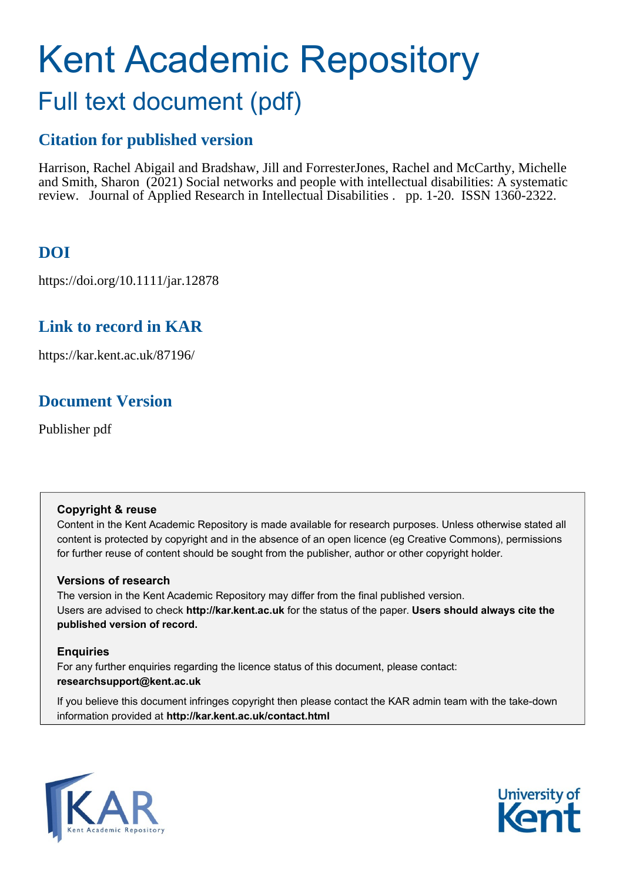# Kent Academic Repository Full text document (pdf)

# **Citation for published version**

Harrison, Rachel Abigail and Bradshaw, Jill and Forrester Jones, Rachel and McCarthy, Michelle and Smith, Sharon (2021) Social networks and people with intellectual disabilities: A systematic review. Journal of Applied Research in Intellectual Disabilities . pp. 1-20. ISSN 1360-2322.

# **DOI**

https://doi.org/10.1111/jar.12878

# **Link to record in KAR**

https://kar.kent.ac.uk/87196/

# **Document Version**

Publisher pdf

# **Copyright & reuse**

Content in the Kent Academic Repository is made available for research purposes. Unless otherwise stated all content is protected by copyright and in the absence of an open licence (eg Creative Commons), permissions for further reuse of content should be sought from the publisher, author or other copyright holder.

# **Versions of research**

The version in the Kent Academic Repository may differ from the final published version. Users are advised to check **http://kar.kent.ac.uk** for the status of the paper. **Users should always cite the published version of record.**

# **Enquiries**

For any further enquiries regarding the licence status of this document, please contact: **researchsupport@kent.ac.uk**

If you believe this document infringes copyright then please contact the KAR admin team with the take-down information provided at **http://kar.kent.ac.uk/contact.html**



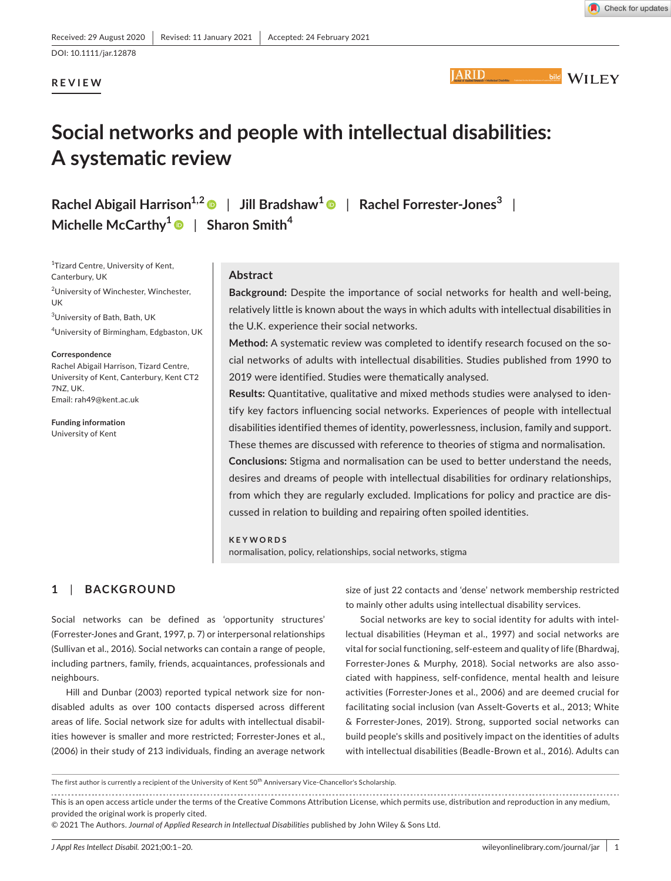# **REVIEW**

**IARID** 



# **Social networks and people with intellectual disabilities: A systematic review**

**Rachel Abigail Harrison1,2** | **Jill Bradshaw<sup>1</sup>** | **Rachel Forrester-Jones<sup>3</sup>** | **Michelle McCarthy[1](https://orcid.org/0000-0003-1358-2516)** | **Sharon Smith<sup>4</sup>**

<sup>1</sup>Tizard Centre, University of Kent, Canterbury, UK 2 University of Winchester, Winchester, UK 3 University of Bath, Bath, UK 4 University of Birmingham, Edgbaston, UK

#### **Correspondence**

Rachel Abigail Harrison, Tizard Centre, University of Kent, Canterbury, Kent CT2 7NZ, UK. Email: [rah49@kent.ac.uk](mailto:rah49@kent.ac.uk)

**Funding information** University of Kent

#### **Abstract**

**Background:** Despite the importance of social networks for health and well-being, relatively little is known about the ways in which adults with intellectual disabilities in the U.K. experience their social networks.

**Method:** A systematic review was completed to identify research focused on the social networks of adults with intellectual disabilities. Studies published from 1990 to 2019 were identified. Studies were thematically analysed.

**Results:** Quantitative, qualitative and mixed methods studies were analysed to identify key factors influencing social networks. Experiences of people with intellectual disabilities identified themes of identity, powerlessness, inclusion, family and support. These themes are discussed with reference to theories of stigma and normalisation. **Conclusions:** Stigma and normalisation can be used to better understand the needs, desires and dreams of people with intellectual disabilities for ordinary relationships, from which they are regularly excluded. Implications for policy and practice are discussed in relation to building and repairing often spoiled identities.

**KEYWORDS** normalisation, policy, relationships, social networks, stigma

# **1**  | **BACKGROUND**

Social networks can be defined as 'opportunity structures' (Forrester-Jones and Grant, 1997, p. 7) or interpersonal relationships (Sullivan et al., 2016). Social networks can contain a range of people, including partners, family, friends, acquaintances, professionals and neighbours.

Hill and Dunbar (2003) reported typical network size for nondisabled adults as over 100 contacts dispersed across different areas of life. Social network size for adults with intellectual disabilities however is smaller and more restricted; Forrester-Jones et al., (2006) in their study of 213 individuals, finding an average network

size of just 22 contacts and 'dense' network membership restricted to mainly other adults using intellectual disability services.

Social networks are key to social identity for adults with intellectual disabilities (Heyman et al., 1997) and social networks are vital for social functioning, self-esteem and quality of life (Bhardwaj, Forrester-Jones & Murphy, 2018). Social networks are also associated with happiness, self-confidence, mental health and leisure activities (Forrester-Jones et al., 2006) and are deemed crucial for facilitating social inclusion (van Asselt-Goverts et al., 2013; White & Forrester-Jones, 2019). Strong, supported social networks can build people's skills and positively impact on the identities of adults with intellectual disabilities (Beadle-Brown et al., 2016). Adults can

This is an open access article under the terms of the [Creative Commons Attribution](http://creativecommons.org/licenses/by/4.0/) License, which permits use, distribution and reproduction in any medium, provided the original work is properly cited.

© 2021 The Authors. *Journal of Applied Research in Intellectual Disabilities* published by John Wiley & Sons Ltd.

The first author is currently a recipient of the University of Kent 50<sup>th</sup> Anniversary Vice-Chancellor's Scholarship.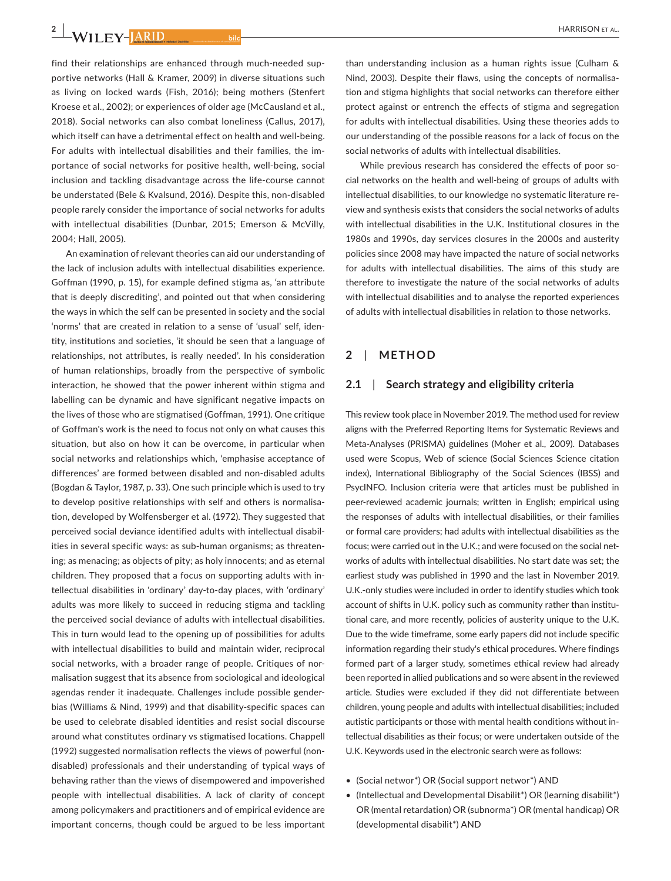**2 <sup>|</sup>** 

find their relationships are enhanced through much-needed supportive networks (Hall & Kramer, 2009) in diverse situations such as living on locked wards (Fish, 2016); being mothers (Stenfert Kroese et al., 2002); or experiences of older age (McCausland et al., 2018). Social networks can also combat loneliness (Callus, 2017), which itself can have a detrimental effect on health and well-being. For adults with intellectual disabilities and their families, the importance of social networks for positive health, well-being, social inclusion and tackling disadvantage across the life-course cannot be understated (Bele & Kvalsund, 2016). Despite this, non-disabled people rarely consider the importance of social networks for adults with intellectual disabilities (Dunbar, 2015; Emerson & McVilly, 2004; Hall, 2005).

An examination of relevant theories can aid our understanding of the lack of inclusion adults with intellectual disabilities experience. Goffman (1990, p. 15), for example defined stigma as, 'an attribute that is deeply discrediting', and pointed out that when considering the ways in which the self can be presented in society and the social 'norms' that are created in relation to a sense of 'usual' self, identity, institutions and societies, 'it should be seen that a language of relationships, not attributes, is really needed'. In his consideration of human relationships, broadly from the perspective of symbolic interaction, he showed that the power inherent within stigma and labelling can be dynamic and have significant negative impacts on the lives of those who are stigmatised (Goffman, 1991). One critique of Goffman's work is the need to focus not only on what causes this situation, but also on how it can be overcome, in particular when social networks and relationships which, 'emphasise acceptance of differences' are formed between disabled and non-disabled adults (Bogdan & Taylor, 1987, p. 33). One such principle which is used to try to develop positive relationships with self and others is normalisation, developed by Wolfensberger et al. (1972). They suggested that perceived social deviance identified adults with intellectual disabilities in several specific ways: as sub-human organisms; as threatening; as menacing; as objects of pity; as holy innocents; and as eternal children. They proposed that a focus on supporting adults with intellectual disabilities in 'ordinary' day-to-day places, with 'ordinary' adults was more likely to succeed in reducing stigma and tackling the perceived social deviance of adults with intellectual disabilities. This in turn would lead to the opening up of possibilities for adults with intellectual disabilities to build and maintain wider, reciprocal social networks, with a broader range of people. Critiques of normalisation suggest that its absence from sociological and ideological agendas render it inadequate. Challenges include possible genderbias (Williams & Nind, 1999) and that disability-specific spaces can be used to celebrate disabled identities and resist social discourse around what constitutes ordinary vs stigmatised locations. Chappell (1992) suggested normalisation reflects the views of powerful (nondisabled) professionals and their understanding of typical ways of behaving rather than the views of disempowered and impoverished people with intellectual disabilities. A lack of clarity of concept among policymakers and practitioners and of empirical evidence are important concerns, though could be argued to be less important

than understanding inclusion as a human rights issue (Culham & Nind, 2003). Despite their flaws, using the concepts of normalisation and stigma highlights that social networks can therefore either protect against or entrench the effects of stigma and segregation for adults with intellectual disabilities. Using these theories adds to our understanding of the possible reasons for a lack of focus on the social networks of adults with intellectual disabilities.

While previous research has considered the effects of poor social networks on the health and well-being of groups of adults with intellectual disabilities, to our knowledge no systematic literature review and synthesis exists that considers the social networks of adults with intellectual disabilities in the U.K. Institutional closures in the 1980s and 1990s, day services closures in the 2000s and austerity policies since 2008 may have impacted the nature of social networks for adults with intellectual disabilities. The aims of this study are therefore to investigate the nature of the social networks of adults with intellectual disabilities and to analyse the reported experiences of adults with intellectual disabilities in relation to those networks.

# **2**  | **METHOD**

## **2.1**  | **Search strategy and eligibility criteria**

This review took place in November 2019. The method used for review aligns with the Preferred Reporting Items for Systematic Reviews and Meta-Analyses (PRISMA) guidelines (Moher et al., 2009). Databases used were Scopus, Web of science (Social Sciences Science citation index), International Bibliography of the Social Sciences (IBSS) and PsycINFO. Inclusion criteria were that articles must be published in peer-reviewed academic journals; written in English; empirical using the responses of adults with intellectual disabilities, or their families or formal care providers; had adults with intellectual disabilities as the focus; were carried out in the U.K.; and were focused on the social networks of adults with intellectual disabilities. No start date was set; the earliest study was published in 1990 and the last in November 2019. U.K.-only studies were included in order to identify studies which took account of shifts in U.K. policy such as community rather than institutional care, and more recently, policies of austerity unique to the U.K. Due to the wide timeframe, some early papers did not include specific information regarding their study's ethical procedures. Where findings formed part of a larger study, sometimes ethical review had already been reported in allied publications and so were absent in the reviewed article. Studies were excluded if they did not differentiate between children, young people and adults with intellectual disabilities; included autistic participants or those with mental health conditions without intellectual disabilities as their focus; or were undertaken outside of the U.K. Keywords used in the electronic search were as follows:

- (Social networ\*) OR (Social support networ\*) AND
- (Intellectual and Developmental Disabilit\*) OR (learning disabilit\*) OR (mental retardation) OR (subnorma\*) OR (mental handicap) OR (developmental disabilit\*) AND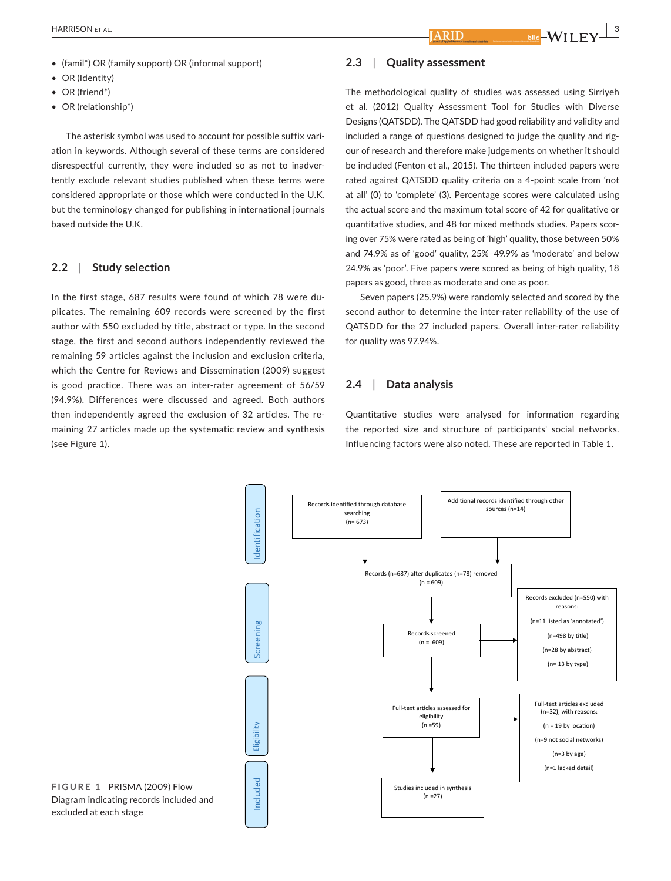- (famil\*) OR (family support) OR (informal support)
- OR (Identity)
- OR (friend\*)
- OR (relationship\*)

The asterisk symbol was used to account for possible suffix variation in keywords. Although several of these terms are considered disrespectful currently, they were included so as not to inadvertently exclude relevant studies published when these terms were considered appropriate or those which were conducted in the U.K. but the terminology changed for publishing in international journals based outside the U.K.

## **2.2**  | **Study selection**

In the first stage, 687 results were found of which 78 were duplicates. The remaining 609 records were screened by the first author with 550 excluded by title, abstract or type. In the second stage, the first and second authors independently reviewed the remaining 59 articles against the inclusion and exclusion criteria, which the Centre for Reviews and Dissemination (2009) suggest is good practice. There was an inter-rater agreement of 56/59 (94.9%). Differences were discussed and agreed. Both authors then independently agreed the exclusion of 32 articles. The remaining 27 articles made up the systematic review and synthesis (see Figure 1).

#### **2.3**  | **Quality assessment**

ARID

The methodological quality of studies was assessed using Sirriyeh et al. (2012) Quality Assessment Tool for Studies with Diverse Designs (QATSDD). The QATSDD had good reliability and validity and included a range of questions designed to judge the quality and rigour of research and therefore make judgements on whether it should be included (Fenton et al., 2015). The thirteen included papers were rated against QATSDD quality criteria on a 4-point scale from 'not at all' (0) to 'complete' (3). Percentage scores were calculated using the actual score and the maximum total score of 42 for qualitative or quantitative studies, and 48 for mixed methods studies. Papers scoring over 75% were rated as being of 'high' quality, those between 50% and 74.9% as of 'good' quality, 25%–49.9% as 'moderate' and below 24.9% as 'poor'. Five papers were scored as being of high quality, 18 papers as good, three as moderate and one as poor.

Seven papers (25.9%) were randomly selected and scored by the second author to determine the inter-rater reliability of the use of QATSDD for the 27 included papers. Overall inter-rater reliability for quality was 97.94%.

# **2.4**  | **Data analysis**

Quantitative studies were analysed for information regarding the reported size and structure of participants' social networks. Influencing factors were also noted. These are reported in Table 1.



**FIGURE 1** PRISMA (2009) Flow Diagram indicating records included and excluded at each stage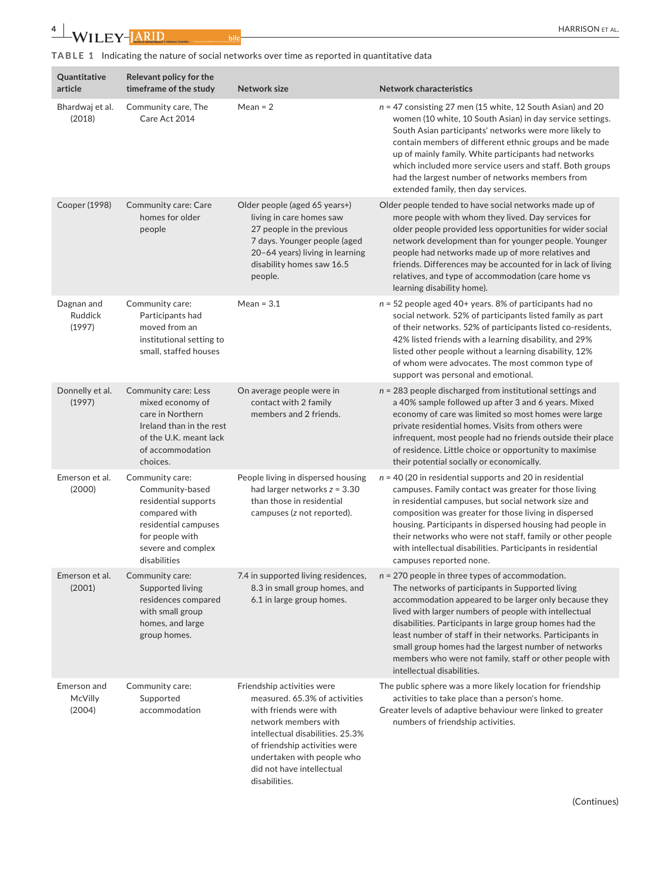**TABLE 1** Indicating the nature of social networks over time as reported in quantitative data

 $\begin{array}{c|c} \textbf{4} & \textbf{W}\textbf{1}\textbf{L}\textbf{E}\textbf{Y}\textbf{-} & \textbf{J}\textbf{A}\textbf{R}\textbf{I}\textbf{D} \end{array}$  bild

| Quantitative<br>article                | Relevant policy for the<br>timeframe of the study                                                                                                            | Network size                                                                                                                                                                                                                                                   | <b>Network characteristics</b>                                                                                                                                                                                                                                                                                                                                                                                                                                                                  |
|----------------------------------------|--------------------------------------------------------------------------------------------------------------------------------------------------------------|----------------------------------------------------------------------------------------------------------------------------------------------------------------------------------------------------------------------------------------------------------------|-------------------------------------------------------------------------------------------------------------------------------------------------------------------------------------------------------------------------------------------------------------------------------------------------------------------------------------------------------------------------------------------------------------------------------------------------------------------------------------------------|
| Bhardwaj et al.<br>(2018)              | Community care, The<br>Care Act 2014                                                                                                                         | Mean = $2$                                                                                                                                                                                                                                                     | $n = 47$ consisting 27 men (15 white, 12 South Asian) and 20<br>women (10 white, 10 South Asian) in day service settings.<br>South Asian participants' networks were more likely to<br>contain members of different ethnic groups and be made<br>up of mainly family. White participants had networks<br>which included more service users and staff. Both groups<br>had the largest number of networks members from<br>extended family, then day services.                                     |
| Cooper (1998)                          | Community care: Care<br>homes for older<br>people                                                                                                            | Older people (aged 65 years+)<br>living in care homes saw<br>27 people in the previous<br>7 days. Younger people (aged<br>20-64 years) living in learning<br>disability homes saw 16.5<br>people.                                                              | Older people tended to have social networks made up of<br>more people with whom they lived. Day services for<br>older people provided less opportunities for wider social<br>network development than for younger people. Younger<br>people had networks made up of more relatives and<br>friends. Differences may be accounted for in lack of living<br>relatives, and type of accommodation (care home vs<br>learning disability home).                                                       |
| Dagnan and<br><b>Ruddick</b><br>(1997) | Community care:<br>Participants had<br>moved from an<br>institutional setting to<br>small, staffed houses                                                    | Mean = $3.1$                                                                                                                                                                                                                                                   | $n = 52$ people aged 40+ years. 8% of participants had no<br>social network. 52% of participants listed family as part<br>of their networks. 52% of participants listed co-residents,<br>42% listed friends with a learning disability, and 29%<br>listed other people without a learning disability, 12%<br>of whom were advocates. The most common type of<br>support was personal and emotional.                                                                                             |
| Donnelly et al.<br>(1997)              | Community care: Less<br>mixed economy of<br>care in Northern<br>Ireland than in the rest<br>of the U.K. meant lack<br>of accommodation<br>choices.           | On average people were in<br>contact with 2 family<br>members and 2 friends.                                                                                                                                                                                   | $n = 283$ people discharged from institutional settings and<br>a 40% sample followed up after 3 and 6 years. Mixed<br>economy of care was limited so most homes were large<br>private residential homes. Visits from others were<br>infrequent, most people had no friends outside their place<br>of residence. Little choice or opportunity to maximise<br>their potential socially or economically.                                                                                           |
| Emerson et al.<br>(2000)               | Community care:<br>Community-based<br>residential supports<br>compared with<br>residential campuses<br>for people with<br>severe and complex<br>disabilities | People living in dispersed housing<br>had larger networks $z = 3.30$<br>than those in residential<br>campuses (z not reported).                                                                                                                                | $n = 40$ (20 in residential supports and 20 in residential<br>campuses. Family contact was greater for those living<br>in residential campuses, but social network size and<br>composition was greater for those living in dispersed<br>housing. Participants in dispersed housing had people in<br>their networks who were not staff, family or other people<br>with intellectual disabilities. Participants in residential<br>campuses reported none.                                         |
| Emerson et al.<br>(2001)               | Community care:<br>Supported living<br>residences compared<br>with small group<br>homes, and large<br>group homes.                                           | 7.4 in supported living residences,<br>8.3 in small group homes, and<br>6.1 in large group homes.                                                                                                                                                              | $n = 270$ people in three types of accommodation.<br>The networks of participants in Supported living<br>accommodation appeared to be larger only because they<br>lived with larger numbers of people with intellectual<br>disabilities. Participants in large group homes had the<br>least number of staff in their networks. Participants in<br>small group homes had the largest number of networks<br>members who were not family, staff or other people with<br>intellectual disabilities. |
| Emerson and<br>McVilly<br>(2004)       | Community care:<br>Supported<br>accommodation                                                                                                                | Friendship activities were<br>measured. 65.3% of activities<br>with friends were with<br>network members with<br>intellectual disabilities. 25.3%<br>of friendship activities were<br>undertaken with people who<br>did not have intellectual<br>disabilities. | The public sphere was a more likely location for friendship<br>activities to take place than a person's home.<br>Greater levels of adaptive behaviour were linked to greater<br>numbers of friendship activities.                                                                                                                                                                                                                                                                               |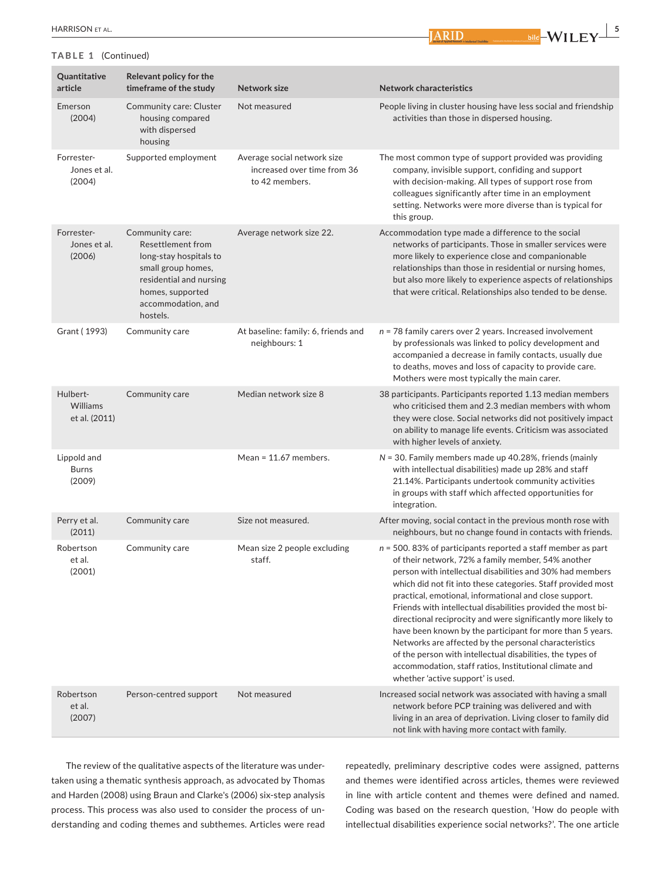## **TABLE 1** (Continued)

**Example 1**  $\frac{1}{2}$  bild  $\frac{1}{2}$  WILEY  $\frac{1}{2}$ 

| Quantitative<br>article               | Relevant policy for the<br>timeframe of the study                                                                                                                     | Network size                                                                 | <b>Network characteristics</b>                                                                                                                                                                                                                                                                                                                                                                                                                                                                                                                                                                                                                                                                                                   |
|---------------------------------------|-----------------------------------------------------------------------------------------------------------------------------------------------------------------------|------------------------------------------------------------------------------|----------------------------------------------------------------------------------------------------------------------------------------------------------------------------------------------------------------------------------------------------------------------------------------------------------------------------------------------------------------------------------------------------------------------------------------------------------------------------------------------------------------------------------------------------------------------------------------------------------------------------------------------------------------------------------------------------------------------------------|
| Emerson<br>(2004)                     | Community care: Cluster<br>housing compared<br>with dispersed<br>housing                                                                                              | Not measured                                                                 | People living in cluster housing have less social and friendship<br>activities than those in dispersed housing.                                                                                                                                                                                                                                                                                                                                                                                                                                                                                                                                                                                                                  |
| Forrester-<br>Jones et al.<br>(2004)  | Supported employment                                                                                                                                                  | Average social network size<br>increased over time from 36<br>to 42 members. | The most common type of support provided was providing<br>company, invisible support, confiding and support<br>with decision-making. All types of support rose from<br>colleagues significantly after time in an employment<br>setting. Networks were more diverse than is typical for<br>this group.                                                                                                                                                                                                                                                                                                                                                                                                                            |
| Forrester-<br>Jones et al.<br>(2006)  | Community care:<br>Resettlement from<br>long-stay hospitals to<br>small group homes,<br>residential and nursing<br>homes, supported<br>accommodation, and<br>hostels. | Average network size 22.                                                     | Accommodation type made a difference to the social<br>networks of participants. Those in smaller services were<br>more likely to experience close and companionable<br>relationships than those in residential or nursing homes,<br>but also more likely to experience aspects of relationships<br>that were critical. Relationships also tended to be dense.                                                                                                                                                                                                                                                                                                                                                                    |
| Grant (1993)                          | Community care                                                                                                                                                        | At baseline: family: 6, friends and<br>neighbours: 1                         | $n = 78$ family carers over 2 years. Increased involvement<br>by professionals was linked to policy development and<br>accompanied a decrease in family contacts, usually due<br>to deaths, moves and loss of capacity to provide care.<br>Mothers were most typically the main carer.                                                                                                                                                                                                                                                                                                                                                                                                                                           |
| Hulbert-<br>Williams<br>et al. (2011) | Community care                                                                                                                                                        | Median network size 8                                                        | 38 participants. Participants reported 1.13 median members<br>who criticised them and 2.3 median members with whom<br>they were close. Social networks did not positively impact<br>on ability to manage life events. Criticism was associated<br>with higher levels of anxiety.                                                                                                                                                                                                                                                                                                                                                                                                                                                 |
| Lippold and<br><b>Burns</b><br>(2009) |                                                                                                                                                                       | Mean = $11.67$ members.                                                      | $N = 30$ . Family members made up 40.28%, friends (mainly<br>with intellectual disabilities) made up 28% and staff<br>21.14%. Participants undertook community activities<br>in groups with staff which affected opportunities for<br>integration.                                                                                                                                                                                                                                                                                                                                                                                                                                                                               |
| Perry et al.<br>(2011)                | Community care                                                                                                                                                        | Size not measured.                                                           | After moving, social contact in the previous month rose with<br>neighbours, but no change found in contacts with friends.                                                                                                                                                                                                                                                                                                                                                                                                                                                                                                                                                                                                        |
| Robertson<br>et al.<br>(2001)         | Community care                                                                                                                                                        | Mean size 2 people excluding<br>staff.                                       | $n = 500$ . 83% of participants reported a staff member as part<br>of their network, 72% a family member, 54% another<br>person with intellectual disabilities and 30% had members<br>which did not fit into these categories. Staff provided most<br>practical, emotional, informational and close support.<br>Friends with intellectual disabilities provided the most bi-<br>directional reciprocity and were significantly more likely to<br>have been known by the participant for more than 5 years.<br>Networks are affected by the personal characteristics<br>of the person with intellectual disabilities, the types of<br>accommodation, staff ratios, Institutional climate and<br>whether 'active support' is used. |
| Robertson<br>et al.<br>(2007)         | Person-centred support                                                                                                                                                | Not measured                                                                 | Increased social network was associated with having a small<br>network before PCP training was delivered and with<br>living in an area of deprivation. Living closer to family did<br>not link with having more contact with family.                                                                                                                                                                                                                                                                                                                                                                                                                                                                                             |

The review of the qualitative aspects of the literature was undertaken using a thematic synthesis approach, as advocated by Thomas and Harden (2008) using Braun and Clarke's (2006) six-step analysis process. This process was also used to consider the process of understanding and coding themes and subthemes. Articles were read repeatedly, preliminary descriptive codes were assigned, patterns and themes were identified across articles, themes were reviewed in line with article content and themes were defined and named. Coding was based on the research question, 'How do people with intellectual disabilities experience social networks?'. The one article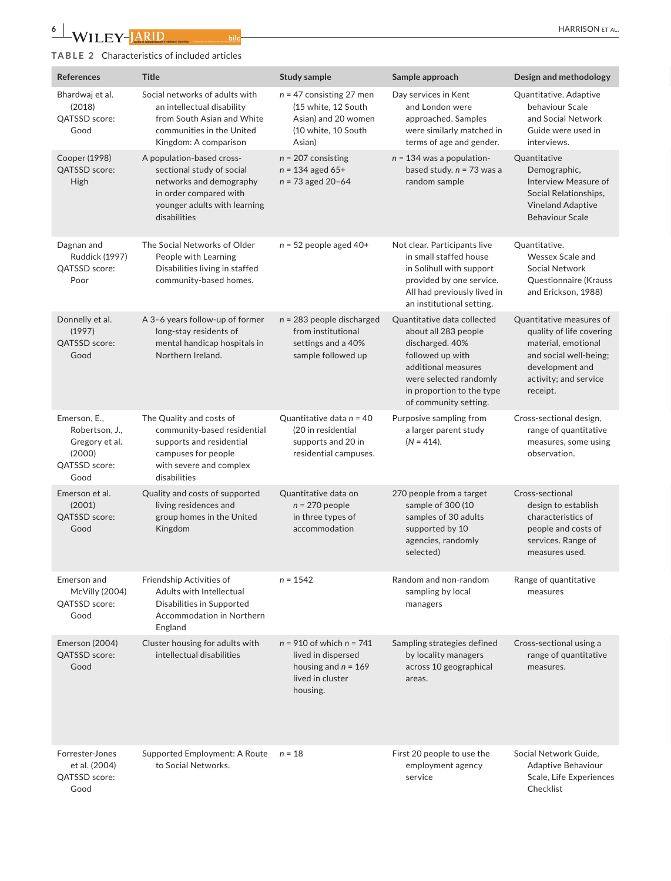# **TABLE 2** Characteristics of included articles

| References                                                                          | Title                                                                                                                                                       | Study sample                                                                                                | Sample approach                                                                                                                                                                                   | Design and methodology                                                                                                                                        |
|-------------------------------------------------------------------------------------|-------------------------------------------------------------------------------------------------------------------------------------------------------------|-------------------------------------------------------------------------------------------------------------|---------------------------------------------------------------------------------------------------------------------------------------------------------------------------------------------------|---------------------------------------------------------------------------------------------------------------------------------------------------------------|
| Bhardwaj et al.<br>(2018)<br>QATSSD score:<br>Good                                  | Social networks of adults with<br>an intellectual disability<br>from South Asian and White<br>communities in the United<br>Kingdom: A comparison            | $n = 47$ consisting 27 men<br>(15 white, 12 South<br>Asian) and 20 women<br>(10 white, 10 South<br>Asian)   | Day services in Kent<br>and London were<br>approached. Samples<br>were similarly matched in<br>terms of age and gender.                                                                           | Quantitative. Adaptive<br>behaviour Scale<br>and Social Network<br>Guide were used in<br>interviews.                                                          |
| Cooper (1998)<br>QATSSD score:<br>High                                              | A population-based cross-<br>sectional study of social<br>networks and demography<br>in order compared with<br>younger adults with learning<br>disabilities | $n = 207$ consisting<br>$n = 134$ aged 65+<br>$n = 73$ aged 20-64                                           | $n = 134$ was a population-<br>based study. $n = 73$ was a<br>random sample                                                                                                                       | Quantitative<br>Demographic,<br>Interview Measure of<br>Social Relationships,<br><b>Vineland Adaptive</b><br><b>Behaviour Scale</b>                           |
| Dagnan and<br>Ruddick (1997)<br>QATSSD score:<br>Poor                               | The Social Networks of Older<br>People with Learning<br>Disabilities living in staffed<br>community-based homes.                                            | $n = 52$ people aged 40+                                                                                    | Not clear. Participants live<br>in small staffed house<br>in Solihull with support<br>provided by one service.<br>All had previously lived in<br>an institutional setting.                        | Quantitative.<br>Wessex Scale and<br>Social Network<br>Questionnaire (Krauss<br>and Erickson, 1988)                                                           |
| Donnelly et al.<br>(1997)<br>QATSSD score:<br>Good                                  | A 3-6 years follow-up of former<br>long-stay residents of<br>mental handicap hospitals in<br>Northern Ireland.                                              | $n = 283$ people discharged<br>from institutional<br>settings and a 40%<br>sample followed up               | Quantitative data collected<br>about all 283 people<br>discharged. 40%<br>followed up with<br>additional measures<br>were selected randomly<br>in proportion to the type<br>of community setting. | Quantitative measures of<br>quality of life covering<br>material, emotional<br>and social well-being;<br>development and<br>activity; and service<br>receipt. |
| Emerson, E.,<br>Robertson, J.,<br>Gregory et al.<br>(2000)<br>QATSSD score:<br>Good | The Quality and costs of<br>community-based residential<br>supports and residential<br>campuses for people<br>with severe and complex<br>disabilities       | Quantitative data $n = 40$<br>(20 in residential<br>supports and 20 in<br>residential campuses.             | Purposive sampling from<br>a larger parent study<br>$(N = 414)$ .                                                                                                                                 | Cross-sectional design,<br>range of quantitative<br>measures, some using<br>observation.                                                                      |
| Emerson et al.<br>(2001)<br>QATSSD score:<br>Good                                   | Quality and costs of supported<br>living residences and<br>group homes in the United<br>Kingdom                                                             | Quantitative data on<br>$n = 270$ people<br>in three types of<br>accommodation                              | 270 people from a target<br>sample of 300 (10<br>samples of 30 adults<br>supported by 10<br>agencies, randomly<br>selected)                                                                       | Cross-sectional<br>design to establish<br>characteristics of<br>people and costs of<br>services. Range of<br>measures used.                                   |
| Emerson and<br>McVilly (2004)<br>QATSSD score:<br>Good                              | Friendship Activities of<br>Adults with Intellectual<br>Disabilities in Supported<br>Accommodation in Northern<br>England                                   | $n = 1542$                                                                                                  | Random and non-random<br>sampling by local<br>managers                                                                                                                                            | Range of quantitative<br>measures                                                                                                                             |
| Emerson (2004)<br>QATSSD score:<br>Good                                             | Cluster housing for adults with<br>intellectual disabilities                                                                                                | $n = 910$ of which $n = 741$<br>lived in dispersed<br>housing and $n = 169$<br>lived in cluster<br>housing. | Sampling strategies defined<br>by locality managers<br>across 10 geographical<br>areas.                                                                                                           | Cross-sectional using a<br>range of quantitative<br>measures.                                                                                                 |
| Forrester-Jones<br>et al. (2004)<br>QATSSD score:<br>Good                           | Supported Employment: A Route $n = 18$<br>to Social Networks.                                                                                               |                                                                                                             | First 20 people to use the<br>employment agency<br>service                                                                                                                                        | Social Network Guide,<br>Adaptive Behaviour<br>Scale, Life Experiences<br>Checklist                                                                           |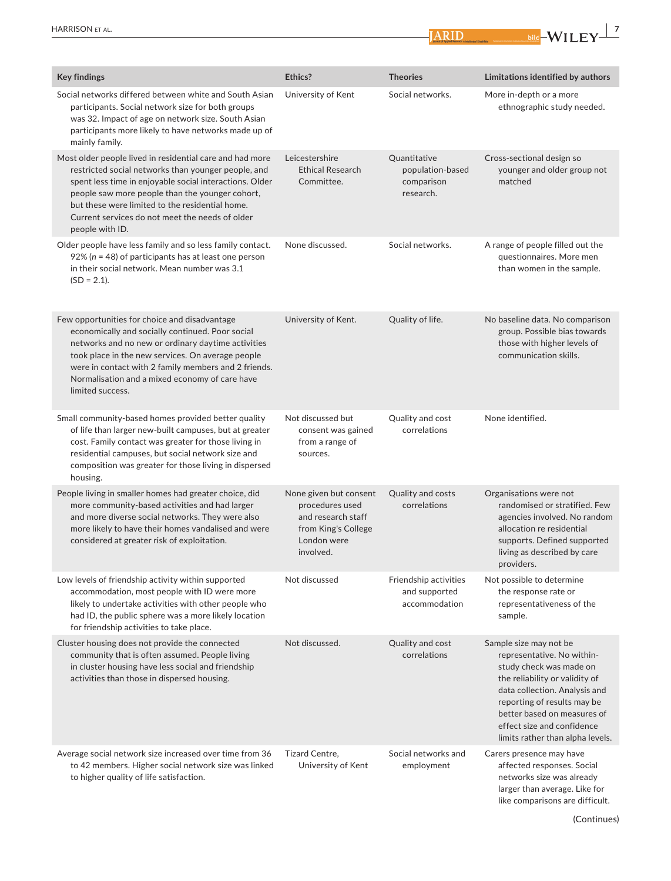

| <b>Key findings</b>                                                                                                                                                                                                                                                                                                                                    |
|--------------------------------------------------------------------------------------------------------------------------------------------------------------------------------------------------------------------------------------------------------------------------------------------------------------------------------------------------------|
| Social networks differed between white and South Asian<br>participants. Social network size for both groups<br>was 32. Impact of age on network size. South Asian<br>participants more likely to have networks made up of<br>mainly family.                                                                                                            |
| Most older people lived in residential care and had more<br>restricted social networks than younger people, and<br>spent less time in enjoyable social interactions. Older<br>people saw more people than the younger cohort,<br>but these were limited to the residential home.<br>Current services do not meet the needs of older<br>people with ID. |
| Older people have less family and so less family contact.<br>$92\%$ (n = 48) of participants has at least one person<br>in their social network. Mean number was 3.1<br>$(SD = 2.1)$ .                                                                                                                                                                 |
| Few opportunities for choice and disadvantage<br>economically and socially continued. Poor social<br>networks and no new or ordinary daytime activities<br>took place in the new services. On average people<br>were in contact with 2 family members and 2 friends.<br>Normalisation and a mixed economy of care have<br>limited success.             |
| Small community-based homes provided better quality<br>of life than larger new-built campuses, but at greater<br>cost. Family contact was greater for those living in<br>residential campuses, but social network size and<br>composition was greater for those living in dispersed<br>housing.                                                        |
| People living in smaller homes had greater choice, did<br>more community-based activities and had larger<br>and more diverse social networks. They were also<br>more likely to have their homes vandalised and were<br>considered at greater risk of exploitation.                                                                                     |
| Low levels of friendship activity within supported<br>accommodation, most people with ID were more<br>likely to undertake activities with other people who<br>had ID, the public sphere was a more likely location<br>for friendship activities to take place.                                                                                         |
| Cluster housing does not provide the connected<br>community that is often assumed. People living<br>in cluster housing have less social and friendship<br>activities than those in dispersed housing.                                                                                                                                                  |
| Average social network size increased over time from 36<br>to 42 members. Higher social network size was linked<br>to higher quality of life satisfaction.                                                                                                                                                                                             |

**Example 1**  $\frac{1}{2}$  bild  $\frac{1}{2}$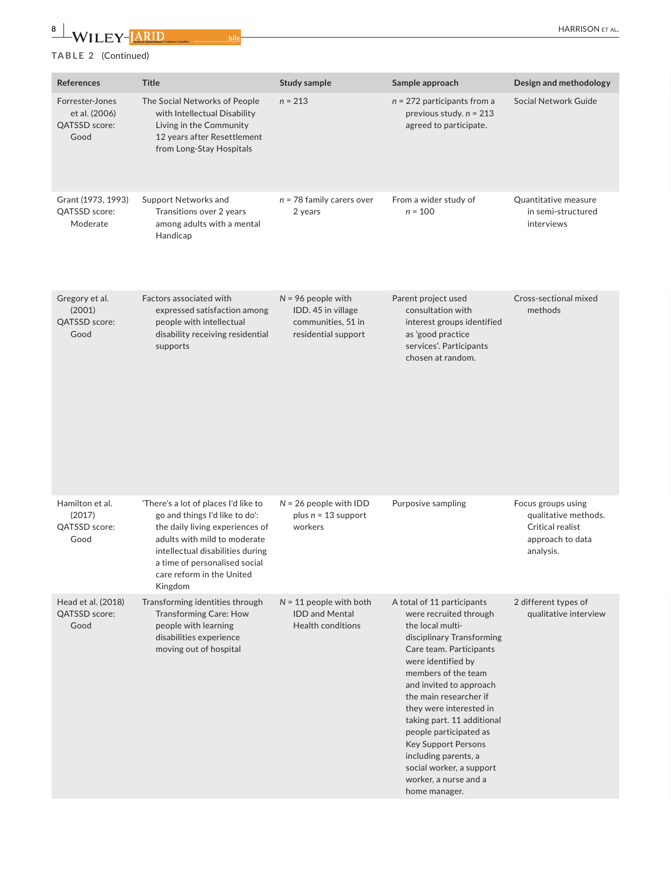HARRISON et al.

# **8 <sup>|</sup> TABLE 2** (Continued)

Published for the British Institute of Learning Disabilities

| References                                                | Title                                                                                                                                                                                                                                                  | <b>Study sample</b>                                                                     | Sample approach                                                                                                                                                                                                                                                                                                                                                                                                                            | Design and methodology                                                                          |
|-----------------------------------------------------------|--------------------------------------------------------------------------------------------------------------------------------------------------------------------------------------------------------------------------------------------------------|-----------------------------------------------------------------------------------------|--------------------------------------------------------------------------------------------------------------------------------------------------------------------------------------------------------------------------------------------------------------------------------------------------------------------------------------------------------------------------------------------------------------------------------------------|-------------------------------------------------------------------------------------------------|
| Forrester-Jones<br>et al. (2006)<br>QATSSD score:<br>Good | The Social Networks of People<br>with Intellectual Disability<br>Living in the Community<br>12 years after Resettlement<br>from Long-Stay Hospitals                                                                                                    | $n = 213$                                                                               | $n = 272$ participants from a<br>previous study. $n = 213$<br>agreed to participate.                                                                                                                                                                                                                                                                                                                                                       | Social Network Guide                                                                            |
| Grant (1973, 1993)<br>QATSSD score:<br>Moderate           | Support Networks and<br>Transitions over 2 years<br>among adults with a mental<br>Handicap                                                                                                                                                             | $n = 78$ family carers over<br>2 years                                                  | From a wider study of<br>$n = 100$                                                                                                                                                                                                                                                                                                                                                                                                         | Quantitative measure<br>in semi-structured<br>interviews                                        |
| Gregory et al.<br>(2001)<br>QATSSD score:<br>Good         | Factors associated with<br>expressed satisfaction among<br>people with intellectual<br>disability receiving residential<br>supports                                                                                                                    | $N = 96$ people with<br>IDD. 45 in village<br>communities, 51 in<br>residential support | Parent project used<br>consultation with<br>interest groups identified<br>as 'good practice<br>services'. Participants<br>chosen at random.                                                                                                                                                                                                                                                                                                | Cross-sectional mixed<br>methods                                                                |
| Hamilton et al.<br>(2017)<br>QATSSD score:<br>Good        | 'There's a lot of places I'd like to<br>go and things I'd like to do':<br>the daily living experiences of<br>adults with mild to moderate<br>intellectual disabilities during<br>a time of personalised social<br>care reform in the United<br>Kingdom | $N = 26$ people with IDD<br>plus $n = 13$ support<br>workers                            | Purposive sampling                                                                                                                                                                                                                                                                                                                                                                                                                         | Focus groups using<br>qualitative methods.<br>Critical realist<br>approach to data<br>analysis. |
| Head et al. (2018)<br>QATSSD score:<br>Good               | Transforming identities through<br>Transforming Care: How<br>people with learning<br>disabilities experience<br>moving out of hospital                                                                                                                 | $N = 11$ people with both<br><b>IDD and Mental</b><br>Health conditions                 | A total of 11 participants<br>were recruited through<br>the local multi-<br>disciplinary Transforming<br>Care team. Participants<br>were identified by<br>members of the team<br>and invited to approach<br>the main researcher if<br>they were interested in<br>taking part. 11 additional<br>people participated as<br>Key Support Persons<br>including parents, a<br>social worker, a support<br>worker, a nurse and a<br>home manager. | 2 different types of<br>qualitative interview                                                   |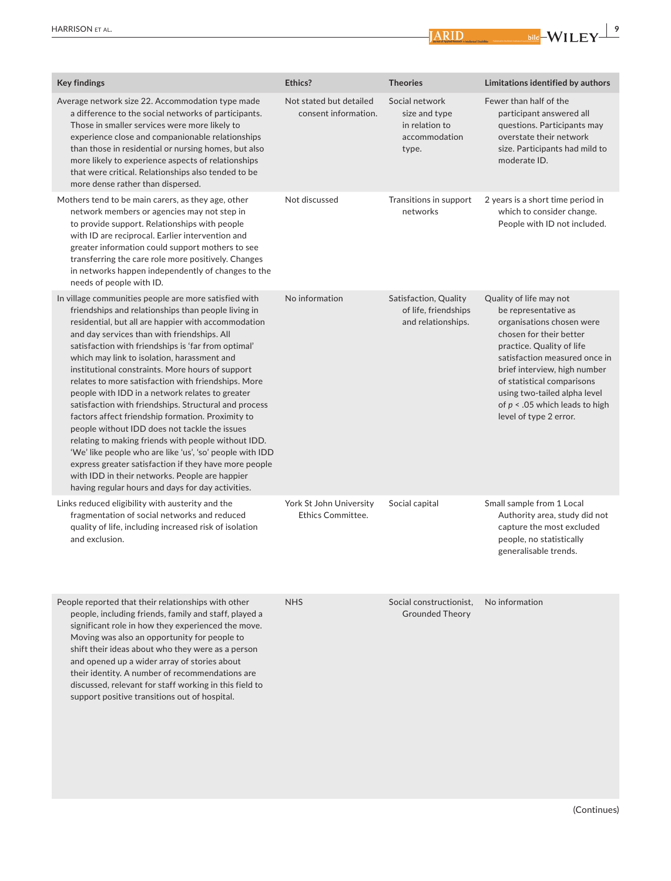

**Example 1**  $\frac{1}{2}$  bild  $\frac{1}{2}$  WILEY  $\frac{1}{2}$ 

| <b>Key findings</b>                                                                                                                                                                                                                                                                                                                                                                                                                                                                                                                                                                                                                                                                                                                                                                                                                                                                                                                      | Ethics?                                             | <b>Theories</b>                                                             | Limitations identified by authors                                                                                                                                                                                                                                                                                                  |
|------------------------------------------------------------------------------------------------------------------------------------------------------------------------------------------------------------------------------------------------------------------------------------------------------------------------------------------------------------------------------------------------------------------------------------------------------------------------------------------------------------------------------------------------------------------------------------------------------------------------------------------------------------------------------------------------------------------------------------------------------------------------------------------------------------------------------------------------------------------------------------------------------------------------------------------|-----------------------------------------------------|-----------------------------------------------------------------------------|------------------------------------------------------------------------------------------------------------------------------------------------------------------------------------------------------------------------------------------------------------------------------------------------------------------------------------|
| Average network size 22. Accommodation type made<br>a difference to the social networks of participants.<br>Those in smaller services were more likely to<br>experience close and companionable relationships<br>than those in residential or nursing homes, but also<br>more likely to experience aspects of relationships<br>that were critical. Relationships also tended to be<br>more dense rather than dispersed.                                                                                                                                                                                                                                                                                                                                                                                                                                                                                                                  | Not stated but detailed<br>consent information.     | Social network<br>size and type<br>in relation to<br>accommodation<br>type. | Fewer than half of the<br>participant answered all<br>questions. Participants may<br>overstate their network<br>size. Participants had mild to<br>moderate ID.                                                                                                                                                                     |
| Mothers tend to be main carers, as they age, other<br>network members or agencies may not step in<br>to provide support. Relationships with people<br>with ID are reciprocal. Earlier intervention and<br>greater information could support mothers to see<br>transferring the care role more positively. Changes<br>in networks happen independently of changes to the<br>needs of people with ID.                                                                                                                                                                                                                                                                                                                                                                                                                                                                                                                                      | Not discussed                                       | Transitions in support<br>networks                                          | 2 years is a short time period in<br>which to consider change.<br>People with ID not included.                                                                                                                                                                                                                                     |
| In village communities people are more satisfied with<br>friendships and relationships than people living in<br>residential, but all are happier with accommodation<br>and day services than with friendships. All<br>satisfaction with friendships is 'far from optimal'<br>which may link to isolation, harassment and<br>institutional constraints. More hours of support<br>relates to more satisfaction with friendships. More<br>people with IDD in a network relates to greater<br>satisfaction with friendships. Structural and process<br>factors affect friendship formation. Proximity to<br>people without IDD does not tackle the issues<br>relating to making friends with people without IDD.<br>'We' like people who are like 'us', 'so' people with IDD<br>express greater satisfaction if they have more people<br>with IDD in their networks. People are happier<br>having regular hours and days for day activities. | No information                                      | Satisfaction, Quality<br>of life, friendships<br>and relationships.         | Quality of life may not<br>be representative as<br>organisations chosen were<br>chosen for their better<br>practice. Quality of life<br>satisfaction measured once in<br>brief interview, high number<br>of statistical comparisons<br>using two-tailed alpha level<br>of $p < 0.05$ which leads to high<br>level of type 2 error. |
| Links reduced eligibility with austerity and the<br>fragmentation of social networks and reduced<br>quality of life, including increased risk of isolation<br>and exclusion.                                                                                                                                                                                                                                                                                                                                                                                                                                                                                                                                                                                                                                                                                                                                                             | York St John University<br><b>Ethics Committee.</b> | Social capital                                                              | Small sample from 1 Local<br>Authority area, study did not<br>capture the most excluded<br>people, no statistically<br>generalisable trends.                                                                                                                                                                                       |
| People reported that their relationships with other<br>people, including friends, family and staff, played a<br>significant role in how they experienced the move.                                                                                                                                                                                                                                                                                                                                                                                                                                                                                                                                                                                                                                                                                                                                                                       | <b>NHS</b>                                          | Social constructionist,<br><b>Grounded Theory</b>                           | No information                                                                                                                                                                                                                                                                                                                     |

Moving was also an opportunity for people to shift their ideas about who they were as a person and opened up a wider array of stories about their identity. A number of recommendations are discussed, relevant for staff working in this field to support positive transitions out of hospital.

(Continues)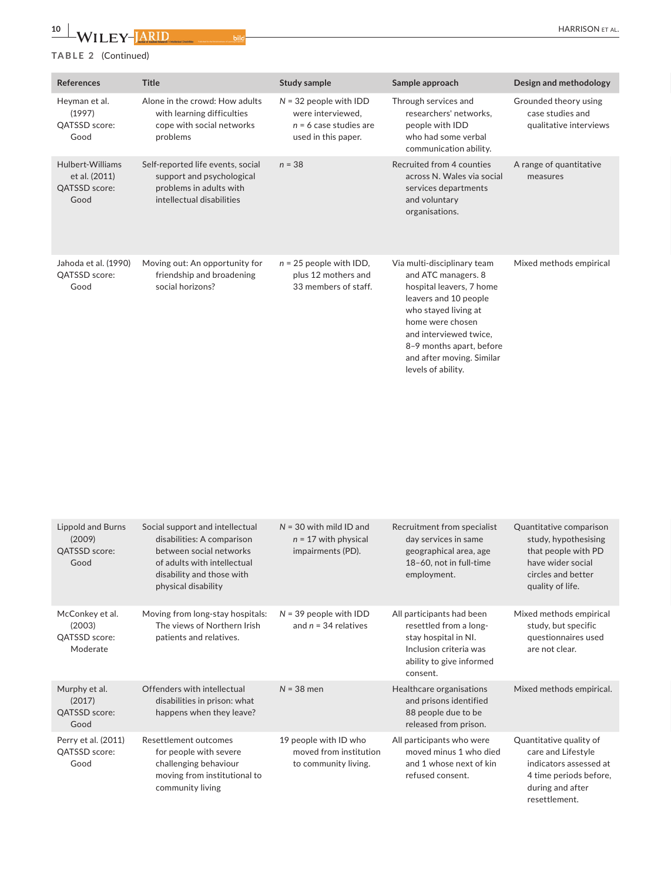Published for the British Institute of Learning Disabilities

# **TABLE 2** (Continued)

| References                                                 | Title                                                                                                                  | Study sample                                                                                     | Sample approach                                                                                                                                                                                                                                              | Design and methodology                                              |
|------------------------------------------------------------|------------------------------------------------------------------------------------------------------------------------|--------------------------------------------------------------------------------------------------|--------------------------------------------------------------------------------------------------------------------------------------------------------------------------------------------------------------------------------------------------------------|---------------------------------------------------------------------|
| Heyman et al.<br>(1997)<br>QATSSD score:<br>Good           | Alone in the crowd: How adults<br>with learning difficulties<br>cope with social networks<br>problems                  | $N = 32$ people with IDD<br>were interviewed,<br>$n = 6$ case studies are<br>used in this paper. | Through services and<br>researchers' networks,<br>people with IDD<br>who had some verbal<br>communication ability.                                                                                                                                           | Grounded theory using<br>case studies and<br>qualitative interviews |
| Hulbert-Williams<br>et al. (2011)<br>QATSSD score:<br>Good | Self-reported life events, social<br>support and psychological<br>problems in adults with<br>intellectual disabilities | $n = 38$                                                                                         | Recruited from 4 counties<br>across N. Wales via social<br>services departments<br>and voluntary<br>organisations.                                                                                                                                           | A range of quantitative<br>measures                                 |
| Jahoda et al. (1990)<br>QATSSD score:<br>Good              | Moving out: An opportunity for<br>friendship and broadening<br>social horizons?                                        | $n = 25$ people with IDD,<br>plus 12 mothers and<br>33 members of staff.                         | Via multi-disciplinary team<br>and ATC managers. 8<br>hospital leavers, 7 home<br>leavers and 10 people<br>who stayed living at<br>home were chosen<br>and interviewed twice,<br>8-9 months apart, before<br>and after moving. Similar<br>levels of ability. | Mixed methods empirical                                             |

| Lippold and Burns<br>(2009)<br>QATSSD score:<br>Good   | Social support and intellectual<br>disabilities: A comparison<br>between social networks<br>of adults with intellectual<br>disability and those with<br>physical disability | $N = 30$ with mild ID and<br>$n = 17$ with physical<br>impairments (PD). | Recruitment from specialist<br>day services in same<br>geographical area, age<br>18-60, not in full-time<br>employment.                       | Quantitative comparison<br>study, hypothesising<br>that people with PD<br>have wider social<br>circles and better<br>quality of life.  |
|--------------------------------------------------------|-----------------------------------------------------------------------------------------------------------------------------------------------------------------------------|--------------------------------------------------------------------------|-----------------------------------------------------------------------------------------------------------------------------------------------|----------------------------------------------------------------------------------------------------------------------------------------|
| McConkey et al.<br>(2003)<br>QATSSD score:<br>Moderate | Moving from long-stay hospitals:<br>The views of Northern Irish<br>patients and relatives.                                                                                  | $N = 39$ people with IDD<br>and $n = 34$ relatives                       | All participants had been<br>resettled from a long-<br>stay hospital in NI.<br>Inclusion criteria was<br>ability to give informed<br>consent. | Mixed methods empirical<br>study, but specific<br>questionnaires used<br>are not clear.                                                |
| Murphy et al.<br>(2017)<br>QATSSD score:<br>Good       | Offenders with intellectual<br>disabilities in prison: what<br>happens when they leave?                                                                                     | $N = 38$ men                                                             | Healthcare organisations<br>and prisons identified<br>88 people due to be<br>released from prison.                                            | Mixed methods empirical.                                                                                                               |
| Perry et al. (2011)<br>QATSSD score:<br>Good           | Resettlement outcomes<br>for people with severe<br>challenging behaviour<br>moving from institutional to<br>community living                                                | 19 people with ID who<br>moved from institution<br>to community living.  | All participants who were<br>moved minus 1 who died<br>and 1 whose next of kin<br>refused consent.                                            | Quantitative quality of<br>care and Lifestyle<br>indicators assessed at<br>4 time periods before,<br>during and after<br>resettlement. |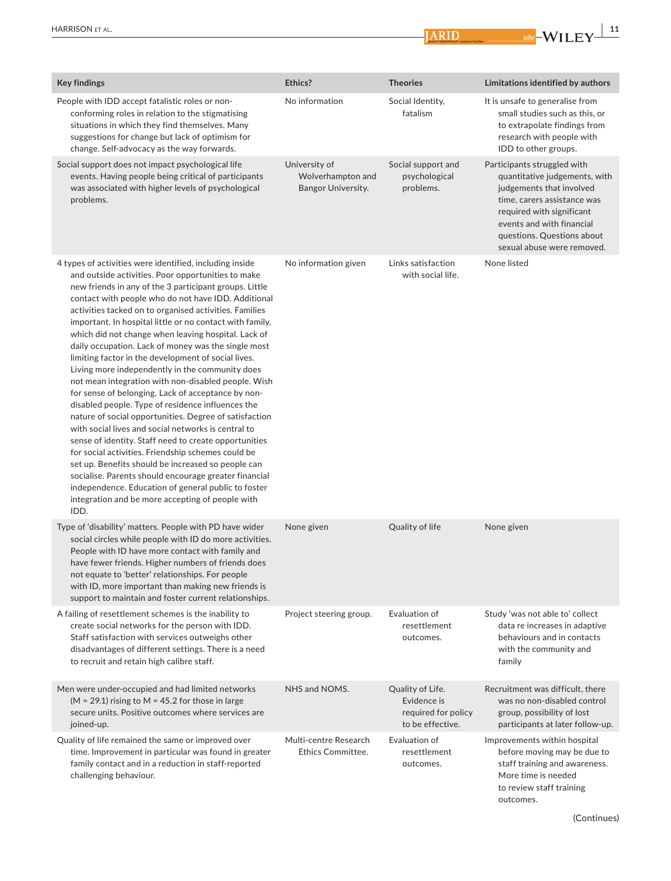| Ethics? | <b>Key findings</b>    |                                                                                                                                                                                                                                                                                                                                                                                                                                                                                                                                                                                                                                                                                                                                                                                                                                                                                                                                                                                                                                                                                                                                                                                                          | <b>Theories</b>                                                                                              | Limitations identified by authors                                                                                                                                                                                                             |
|---------|------------------------|----------------------------------------------------------------------------------------------------------------------------------------------------------------------------------------------------------------------------------------------------------------------------------------------------------------------------------------------------------------------------------------------------------------------------------------------------------------------------------------------------------------------------------------------------------------------------------------------------------------------------------------------------------------------------------------------------------------------------------------------------------------------------------------------------------------------------------------------------------------------------------------------------------------------------------------------------------------------------------------------------------------------------------------------------------------------------------------------------------------------------------------------------------------------------------------------------------|--------------------------------------------------------------------------------------------------------------|-----------------------------------------------------------------------------------------------------------------------------------------------------------------------------------------------------------------------------------------------|
|         |                        | People with IDD accept fatalistic roles or non-<br>conforming roles in relation to the stigmatising<br>situations in which they find themselves. Many<br>suggestions for change but lack of optimism for<br>change. Self-advocacy as the way forwards.                                                                                                                                                                                                                                                                                                                                                                                                                                                                                                                                                                                                                                                                                                                                                                                                                                                                                                                                                   | No information<br>Social Identity,<br>fatalism                                                               | It is unsafe to generalise from<br>small studies such as this, or<br>to extrapolate findings from<br>research with people with<br>IDD to other groups.                                                                                        |
|         | problems.              | Social support does not impact psychological life<br>events. Having people being critical of participants<br>was associated with higher levels of psychological                                                                                                                                                                                                                                                                                                                                                                                                                                                                                                                                                                                                                                                                                                                                                                                                                                                                                                                                                                                                                                          | University of<br>Social support and<br>Wolverhampton and<br>psychological<br>Bangor University.<br>problems. | Participants struggled with<br>quantitative judgements, with<br>judgements that involved<br>time, carers assistance was<br>required with significant<br>events and with financial<br>questions. Questions about<br>sexual abuse were removed. |
|         | <b>IDD</b>             | 4 types of activities were identified, including inside<br>and outside activities. Poor opportunities to make<br>new friends in any of the 3 participant groups. Little<br>contact with people who do not have IDD. Additional<br>activities tacked on to organised activities. Families<br>important. In hospital little or no contact with family,<br>which did not change when leaving hospital. Lack of<br>daily occupation. Lack of money was the single most<br>limiting factor in the development of social lives.<br>Living more independently in the community does<br>not mean integration with non-disabled people. Wish<br>for sense of belonging. Lack of acceptance by non-<br>disabled people. Type of residence influences the<br>nature of social opportunities. Degree of satisfaction<br>with social lives and social networks is central to<br>sense of identity. Staff need to create opportunities<br>for social activities. Friendship schemes could be<br>set up. Benefits should be increased so people can<br>socialise. Parents should encourage greater financial<br>independence. Education of general public to foster<br>integration and be more accepting of people with | Links satisfaction<br>No information given<br>with social life.                                              | None listed                                                                                                                                                                                                                                   |
|         |                        | Type of 'disability' matters. People with PD have wider<br>social circles while people with ID do more activities.<br>People with ID have more contact with family and<br>have fewer friends. Higher numbers of friends does<br>not equate to 'better' relationships. For people<br>with ID, more important than making new friends is<br>support to maintain and foster current relationships.                                                                                                                                                                                                                                                                                                                                                                                                                                                                                                                                                                                                                                                                                                                                                                                                          | Quality of life<br>None given                                                                                | None given                                                                                                                                                                                                                                    |
|         |                        | A failing of resettlement schemes is the inability to<br>create social networks for the person with IDD.<br>Staff satisfaction with services outweighs other<br>disadvantages of different settings. There is a need<br>to recruit and retain high calibre staff.                                                                                                                                                                                                                                                                                                                                                                                                                                                                                                                                                                                                                                                                                                                                                                                                                                                                                                                                        | Project steering group.<br>Evaluation of<br>resettlement<br>outcomes.                                        | Study 'was not able to' collect<br>data re increases in adaptive<br>behaviours and in contacts<br>with the community and<br>family                                                                                                            |
|         | joined-up.             | Men were under-occupied and had limited networks<br>(M = 29.1) rising to M = 45.2 for those in large<br>secure units. Positive outcomes where services are                                                                                                                                                                                                                                                                                                                                                                                                                                                                                                                                                                                                                                                                                                                                                                                                                                                                                                                                                                                                                                               | NHS and NOMS.<br>Quality of Life.<br>Evidence is<br>required for policy<br>to be effective.                  | Recruitment was difficult, there<br>was no non-disabled control<br>group, possibility of lost<br>participants at later follow-up.                                                                                                             |
|         | challenging behaviour. | Quality of life remained the same or improved over<br>time. Improvement in particular was found in greater<br>family contact and in a reduction in staff-reported                                                                                                                                                                                                                                                                                                                                                                                                                                                                                                                                                                                                                                                                                                                                                                                                                                                                                                                                                                                                                                        | Multi-centre Research<br>Evaluation of<br>Ethics Committee.<br>resettlement<br>outcomes.                     | Improvements within hospital<br>before moving may be due to<br>staff training and awareness.<br>More time is needed<br>to review staff training<br>outcomes.                                                                                  |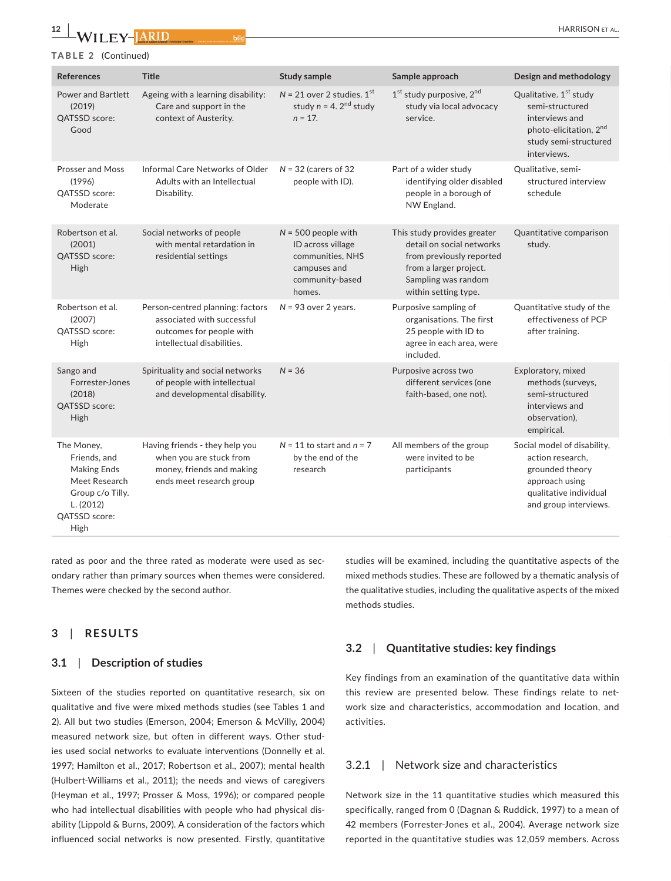HARRISON et al.

# **TABLE 2** (Continued)

 $I$   $FV$ - $\overline{IARID}$ 

**12 <sup>|</sup>** 

| References                                                                                                                  | Title                                                                                                                    | <b>Study sample</b>                                                                                         | Sample approach                                                                                                                                               | Design and methodology                                                                                                                                |
|-----------------------------------------------------------------------------------------------------------------------------|--------------------------------------------------------------------------------------------------------------------------|-------------------------------------------------------------------------------------------------------------|---------------------------------------------------------------------------------------------------------------------------------------------------------------|-------------------------------------------------------------------------------------------------------------------------------------------------------|
| Power and Bartlett<br>(2019)<br>QATSSD score:<br>Good                                                                       | Ageing with a learning disability:<br>Care and support in the<br>context of Austerity.                                   | $N = 21$ over 2 studies. $1st$<br>study $n = 4$ . $2^{nd}$ study<br>$n = 17$ .                              | $1st$ study purposive, $2nd$<br>study via local advocacy<br>service.                                                                                          | Qualitative. 1 <sup>st</sup> study<br>semi-structured<br>interviews and<br>photo-elicitation, 2 <sup>nd</sup><br>study semi-structured<br>interviews. |
| Prosser and Moss<br>(1996)<br>QATSSD score:<br>Moderate                                                                     | Informal Care Networks of Older<br>Adults with an Intellectual<br>Disability.                                            | $N = 32$ (carers of 32<br>people with ID).                                                                  | Part of a wider study<br>identifying older disabled<br>people in a borough of<br>NW England.                                                                  | Qualitative, semi-<br>structured interview<br>schedule                                                                                                |
| Robertson et al<br>(2001)<br>QATSSD score:<br>High                                                                          | Social networks of people<br>with mental retardation in<br>residential settings                                          | $N = 500$ people with<br>ID across village<br>communities, NHS<br>campuses and<br>community-based<br>homes. | This study provides greater<br>detail on social networks<br>from previously reported<br>from a larger project.<br>Sampling was random<br>within setting type. | Quantitative comparison<br>study.                                                                                                                     |
| Robertson et al<br>(2007)<br><b>OATSSD</b> score:<br>High                                                                   | Person-centred planning: factors<br>associated with successful<br>outcomes for people with<br>intellectual disabilities. | $N = 93$ over 2 years.                                                                                      | Purposive sampling of<br>organisations. The first<br>25 people with ID to<br>agree in each area, were<br>included.                                            | Quantitative study of the<br>effectiveness of PCP<br>after training.                                                                                  |
| Sango and<br>Forrester-Jones<br>(2018)<br>QATSSD score:<br>High                                                             | Spirituality and social networks<br>of people with intellectual<br>and developmental disability.                         | $N = 36$                                                                                                    | Purposive across two<br>different services (one<br>faith-based, one not).                                                                                     | Exploratory, mixed<br>methods (surveys,<br>semi-structured<br>interviews and<br>observation).<br>empirical.                                           |
| The Money,<br>Friends, and<br><b>Making Ends</b><br>Meet Research<br>Group c/o Tilly.<br>L. (2012)<br>QATSSD score:<br>High | Having friends - they help you<br>when you are stuck from<br>money, friends and making<br>ends meet research group       | $N = 11$ to start and $n = 7$<br>by the end of the<br>research                                              | All members of the group<br>were invited to be<br>participants                                                                                                | Social model of disability,<br>action research,<br>grounded theory<br>approach using<br>qualitative individual<br>and group interviews.               |

rated as poor and the three rated as moderate were used as secondary rather than primary sources when themes were considered. Themes were checked by the second author.

# **3**  | **RESULTS**

## **3.1**  | **Description of studies**

Sixteen of the studies reported on quantitative research, six on qualitative and five were mixed methods studies (see Tables 1 and 2). All but two studies (Emerson, 2004; Emerson & McVilly, 2004) measured network size, but often in different ways. Other studies used social networks to evaluate interventions (Donnelly et al. 1997; Hamilton et al., 2017; Robertson et al., 2007); mental health (Hulbert-Williams et al., 2011); the needs and views of caregivers (Heyman et al., 1997; Prosser & Moss, 1996); or compared people who had intellectual disabilities with people who had physical disability (Lippold & Burns, 2009). A consideration of the factors which influenced social networks is now presented. Firstly, quantitative

studies will be examined, including the quantitative aspects of the mixed methods studies. These are followed by a thematic analysis of the qualitative studies, including the qualitative aspects of the mixed methods studies.

# **3.2**  | **Quantitative studies: key findings**

Key findings from an examination of the quantitative data within this review are presented below. These findings relate to network size and characteristics, accommodation and location, and activities.

# 3.2.1 | Network size and characteristics

Network size in the 11 quantitative studies which measured this specifically, ranged from 0 (Dagnan & Ruddick, 1997) to a mean of 42 members (Forrester-Jones et al., 2004). Average network size reported in the quantitative studies was 12,059 members. Across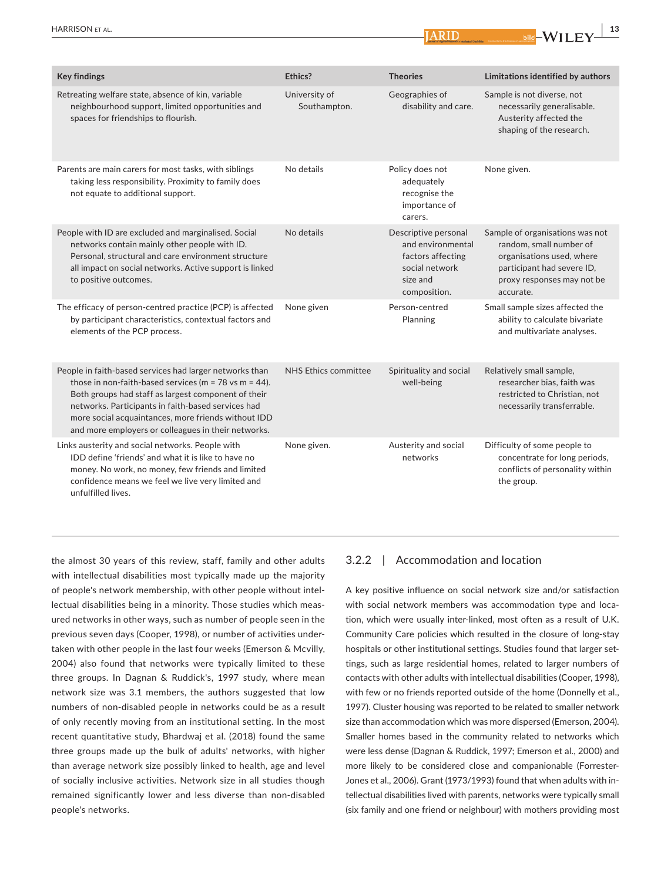| <b>Key findings</b>                                                                                                                                                                                                                                                                                                                               | Ethics?                       | <b>Theories</b>                                                                                              | Limitations identified by authors                                                                                                                                |
|---------------------------------------------------------------------------------------------------------------------------------------------------------------------------------------------------------------------------------------------------------------------------------------------------------------------------------------------------|-------------------------------|--------------------------------------------------------------------------------------------------------------|------------------------------------------------------------------------------------------------------------------------------------------------------------------|
| Retreating welfare state, absence of kin, variable<br>neighbourhood support, limited opportunities and<br>spaces for friendships to flourish.                                                                                                                                                                                                     | University of<br>Southampton. | Geographies of<br>disability and care.                                                                       | Sample is not diverse, not<br>necessarily generalisable.<br>Austerity affected the<br>shaping of the research.                                                   |
| Parents are main carers for most tasks, with siblings<br>taking less responsibility. Proximity to family does<br>not equate to additional support.                                                                                                                                                                                                | No details                    | Policy does not<br>adequately<br>recognise the<br>importance of<br>carers.                                   | None given.                                                                                                                                                      |
| People with ID are excluded and marginalised. Social<br>networks contain mainly other people with ID.<br>Personal, structural and care environment structure<br>all impact on social networks. Active support is linked<br>to positive outcomes.                                                                                                  | No details                    | Descriptive personal<br>and environmental<br>factors affecting<br>social network<br>size and<br>composition. | Sample of organisations was not<br>random, small number of<br>organisations used, where<br>participant had severe ID,<br>proxy responses may not be<br>accurate. |
| The efficacy of person-centred practice (PCP) is affected<br>by participant characteristics, contextual factors and<br>elements of the PCP process.                                                                                                                                                                                               | None given                    | Person-centred<br>Planning                                                                                   | Small sample sizes affected the<br>ability to calculate bivariate<br>and multivariate analyses.                                                                  |
| People in faith-based services had larger networks than<br>those in non-faith-based services ( $m = 78$ vs $m = 44$ ).<br>Both groups had staff as largest component of their<br>networks. Participants in faith-based services had<br>more social acquaintances, more friends without IDD<br>and more employers or colleagues in their networks. | NHS Ethics committee          | Spirituality and social<br>well-being                                                                        | Relatively small sample,<br>researcher bias, faith was<br>restricted to Christian, not<br>necessarily transferrable.                                             |
| Links austerity and social networks. People with<br>IDD define 'friends' and what it is like to have no<br>money. No work, no money, few friends and limited<br>confidence means we feel we live very limited and<br>unfulfilled lives.                                                                                                           | None given.                   | Austerity and social<br>networks                                                                             | Difficulty of some people to<br>concentrate for long periods,<br>conflicts of personality within<br>the group.                                                   |

the almost 30 years of this review, staff, family and other adults with intellectual disabilities most typically made up the majority of people's network membership, with other people without intellectual disabilities being in a minority. Those studies which measured networks in other ways, such as number of people seen in the previous seven days (Cooper, 1998), or number of activities undertaken with other people in the last four weeks (Emerson & Mcvilly, 2004) also found that networks were typically limited to these three groups. In Dagnan & Ruddick's, 1997 study, where mean network size was 3.1 members, the authors suggested that low numbers of non-disabled people in networks could be as a result of only recently moving from an institutional setting. In the most recent quantitative study, Bhardwaj et al. (2018) found the same three groups made up the bulk of adults' networks, with higher than average network size possibly linked to health, age and level of socially inclusive activities. Network size in all studies though remained significantly lower and less diverse than non-disabled people's networks.

## 3.2.2 | Accommodation and location

A key positive influence on social network size and/or satisfaction with social network members was accommodation type and location, which were usually inter-linked, most often as a result of U.K. Community Care policies which resulted in the closure of long-stay hospitals or other institutional settings. Studies found that larger settings, such as large residential homes, related to larger numbers of contacts with other adults with intellectual disabilities (Cooper, 1998), with few or no friends reported outside of the home (Donnelly et al., 1997). Cluster housing was reported to be related to smaller network size than accommodation which was more dispersed (Emerson, 2004). Smaller homes based in the community related to networks which were less dense (Dagnan & Ruddick, 1997; Emerson et al., 2000) and more likely to be considered close and companionable (Forrester-Jones et al., 2006). Grant (1973/1993) found that when adults with intellectual disabilities lived with parents, networks were typically small (six family and one friend or neighbour) with mothers providing most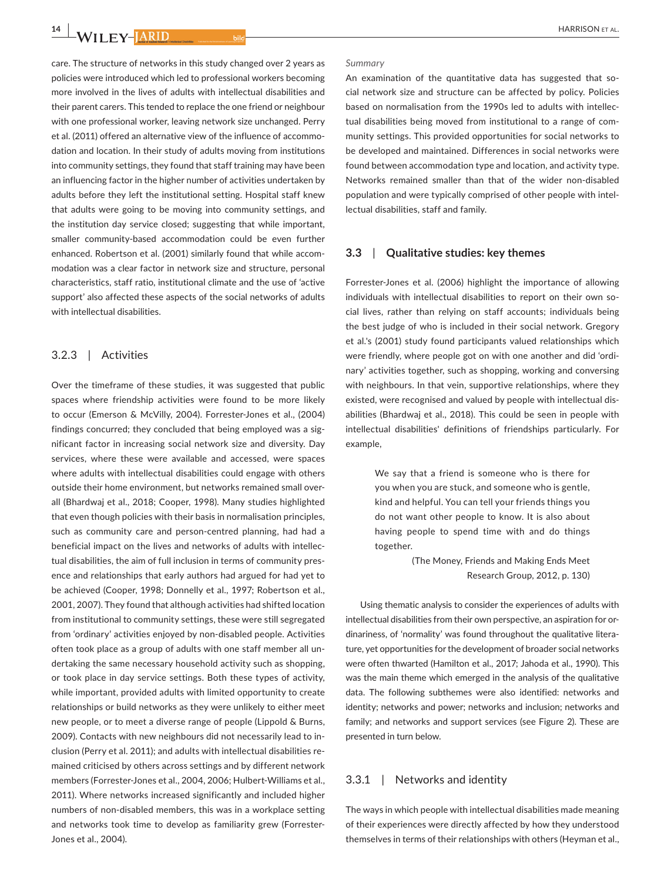**14 <sup>|</sup>** 

care. The structure of networks in this study changed over 2 years as policies were introduced which led to professional workers becoming more involved in the lives of adults with intellectual disabilities and their parent carers. This tended to replace the one friend or neighbour with one professional worker, leaving network size unchanged. Perry et al. (2011) offered an alternative view of the influence of accommodation and location. In their study of adults moving from institutions into community settings, they found that staff training may have been an influencing factor in the higher number of activities undertaken by adults before they left the institutional setting. Hospital staff knew that adults were going to be moving into community settings, and the institution day service closed; suggesting that while important, smaller community-based accommodation could be even further enhanced. Robertson et al. (2001) similarly found that while accommodation was a clear factor in network size and structure, personal characteristics, staff ratio, institutional climate and the use of 'active support' also affected these aspects of the social networks of adults with intellectual disabilities.

# 3.2.3 | Activities

Over the timeframe of these studies, it was suggested that public spaces where friendship activities were found to be more likely to occur (Emerson & McVilly, 2004). Forrester-Jones et al., (2004) findings concurred; they concluded that being employed was a significant factor in increasing social network size and diversity. Day services, where these were available and accessed, were spaces where adults with intellectual disabilities could engage with others outside their home environment, but networks remained small overall (Bhardwaj et al., 2018; Cooper, 1998). Many studies highlighted that even though policies with their basis in normalisation principles, such as community care and person-centred planning, had had a beneficial impact on the lives and networks of adults with intellectual disabilities, the aim of full inclusion in terms of community presence and relationships that early authors had argued for had yet to be achieved (Cooper, 1998; Donnelly et al., 1997; Robertson et al., 2001, 2007). They found that although activities had shifted location from institutional to community settings, these were still segregated from 'ordinary' activities enjoyed by non-disabled people. Activities often took place as a group of adults with one staff member all undertaking the same necessary household activity such as shopping, or took place in day service settings. Both these types of activity, while important, provided adults with limited opportunity to create relationships or build networks as they were unlikely to either meet new people, or to meet a diverse range of people (Lippold & Burns, 2009). Contacts with new neighbours did not necessarily lead to inclusion (Perry et al. 2011); and adults with intellectual disabilities remained criticised by others across settings and by different network members (Forrester-Jones et al., 2004, 2006; Hulbert-Williams et al., 2011). Where networks increased significantly and included higher numbers of non-disabled members, this was in a workplace setting and networks took time to develop as familiarity grew (Forrester-Jones et al., 2004).

#### *Summary*

An examination of the quantitative data has suggested that social network size and structure can be affected by policy. Policies based on normalisation from the 1990s led to adults with intellectual disabilities being moved from institutional to a range of community settings. This provided opportunities for social networks to be developed and maintained. Differences in social networks were found between accommodation type and location, and activity type. Networks remained smaller than that of the wider non-disabled population and were typically comprised of other people with intellectual disabilities, staff and family.

#### **3.3**  | **Qualitative studies: key themes**

Forrester-Jones et al. (2006) highlight the importance of allowing individuals with intellectual disabilities to report on their own social lives, rather than relying on staff accounts; individuals being the best judge of who is included in their social network. Gregory et al.'s (2001) study found participants valued relationships which were friendly, where people got on with one another and did 'ordinary' activities together, such as shopping, working and conversing with neighbours. In that vein, supportive relationships, where they existed, were recognised and valued by people with intellectual disabilities (Bhardwaj et al., 2018). This could be seen in people with intellectual disabilities' definitions of friendships particularly. For example,

> We say that a friend is someone who is there for you when you are stuck, and someone who is gentle, kind and helpful. You can tell your friends things you do not want other people to know. It is also about having people to spend time with and do things together.

> > (The Money, Friends and Making Ends Meet Research Group, 2012, p. 130)

Using thematic analysis to consider the experiences of adults with intellectual disabilities from their own perspective, an aspiration for ordinariness, of 'normality' was found throughout the qualitative literature, yet opportunities for the development of broader social networks were often thwarted (Hamilton et al., 2017; Jahoda et al., 1990). This was the main theme which emerged in the analysis of the qualitative data. The following subthemes were also identified: networks and identity; networks and power; networks and inclusion; networks and family; and networks and support services (see Figure 2). These are presented in turn below.

#### 3.3.1 | Networks and identity

The ways in which people with intellectual disabilities made meaning of their experiences were directly affected by how they understood themselves in terms of their relationships with others (Heyman et al.,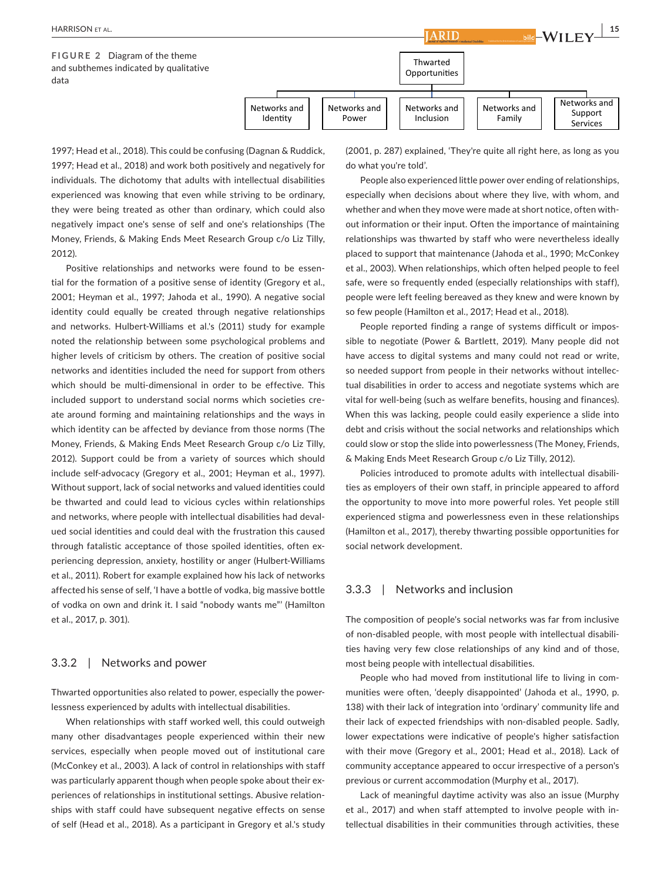

ARID

1997; Head et al., 2018). This could be confusing (Dagnan & Ruddick, 1997; Head et al., 2018) and work both positively and negatively for individuals. The dichotomy that adults with intellectual disabilities experienced was knowing that even while striving to be ordinary, they were being treated as other than ordinary, which could also negatively impact one's sense of self and one's relationships (The Money, Friends, & Making Ends Meet Research Group c/o Liz Tilly, 2012).

Positive relationships and networks were found to be essential for the formation of a positive sense of identity (Gregory et al., 2001; Heyman et al., 1997; Jahoda et al., 1990). A negative social identity could equally be created through negative relationships and networks. Hulbert-Williams et al.'s (2011) study for example noted the relationship between some psychological problems and higher levels of criticism by others. The creation of positive social networks and identities included the need for support from others which should be multi-dimensional in order to be effective. This included support to understand social norms which societies create around forming and maintaining relationships and the ways in which identity can be affected by deviance from those norms (The Money, Friends, & Making Ends Meet Research Group c/o Liz Tilly, 2012). Support could be from a variety of sources which should include self-advocacy (Gregory et al., 2001; Heyman et al., 1997). Without support, lack of social networks and valued identities could be thwarted and could lead to vicious cycles within relationships and networks, where people with intellectual disabilities had devalued social identities and could deal with the frustration this caused through fatalistic acceptance of those spoiled identities, often experiencing depression, anxiety, hostility or anger (Hulbert-Williams et al., 2011). Robert for example explained how his lack of networks affected his sense of self, 'I have a bottle of vodka, big massive bottle of vodka on own and drink it. I said "nobody wants me"' (Hamilton et al., 2017, p. 301).

#### 3.3.2 | Networks and power

Thwarted opportunities also related to power, especially the powerlessness experienced by adults with intellectual disabilities.

When relationships with staff worked well, this could outweigh many other disadvantages people experienced within their new services, especially when people moved out of institutional care (McConkey et al., 2003). A lack of control in relationships with staff was particularly apparent though when people spoke about their experiences of relationships in institutional settings. Abusive relationships with staff could have subsequent negative effects on sense of self (Head et al., 2018). As a participant in Gregory et al.'s study (2001, p. 287) explained, 'They're quite all right here, as long as you do what you're told'.

People also experienced little power over ending of relationships, especially when decisions about where they live, with whom, and whether and when they move were made at short notice, often without information or their input. Often the importance of maintaining relationships was thwarted by staff who were nevertheless ideally placed to support that maintenance (Jahoda et al., 1990; McConkey et al., 2003). When relationships, which often helped people to feel safe, were so frequently ended (especially relationships with staff), people were left feeling bereaved as they knew and were known by so few people (Hamilton et al., 2017; Head et al., 2018).

People reported finding a range of systems difficult or impossible to negotiate (Power & Bartlett, 2019). Many people did not have access to digital systems and many could not read or write, so needed support from people in their networks without intellectual disabilities in order to access and negotiate systems which are vital for well-being (such as welfare benefits, housing and finances). When this was lacking, people could easily experience a slide into debt and crisis without the social networks and relationships which could slow or stop the slide into powerlessness (The Money, Friends, & Making Ends Meet Research Group c/o Liz Tilly, 2012).

Policies introduced to promote adults with intellectual disabilities as employers of their own staff, in principle appeared to afford the opportunity to move into more powerful roles. Yet people still experienced stigma and powerlessness even in these relationships (Hamilton et al., 2017), thereby thwarting possible opportunities for social network development.

# 3.3.3 | Networks and inclusion

The composition of people's social networks was far from inclusive of non-disabled people, with most people with intellectual disabilities having very few close relationships of any kind and of those, most being people with intellectual disabilities.

People who had moved from institutional life to living in communities were often, 'deeply disappointed' (Jahoda et al., 1990, p. 138) with their lack of integration into 'ordinary' community life and their lack of expected friendships with non-disabled people. Sadly, lower expectations were indicative of people's higher satisfaction with their move (Gregory et al., 2001; Head et al., 2018). Lack of community acceptance appeared to occur irrespective of a person's previous or current accommodation (Murphy et al., 2017).

Lack of meaningful daytime activity was also an issue (Murphy et al., 2017) and when staff attempted to involve people with intellectual disabilities in their communities through activities, these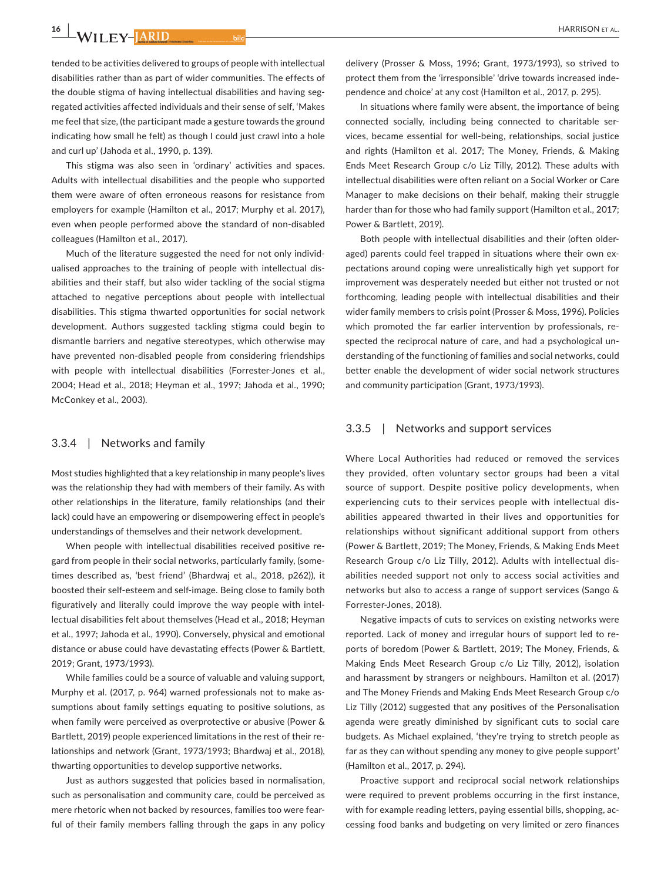**16 <sup>|</sup>** 

tended to be activities delivered to groups of people with intellectual disabilities rather than as part of wider communities. The effects of the double stigma of having intellectual disabilities and having segregated activities affected individuals and their sense of self, 'Makes me feel that size, (the participant made a gesture towards the ground indicating how small he felt) as though I could just crawl into a hole and curl up' (Jahoda et al., 1990, p. 139).

This stigma was also seen in 'ordinary' activities and spaces. Adults with intellectual disabilities and the people who supported them were aware of often erroneous reasons for resistance from employers for example (Hamilton et al., 2017; Murphy et al. 2017), even when people performed above the standard of non-disabled colleagues (Hamilton et al., 2017).

Much of the literature suggested the need for not only individualised approaches to the training of people with intellectual disabilities and their staff, but also wider tackling of the social stigma attached to negative perceptions about people with intellectual disabilities. This stigma thwarted opportunities for social network development. Authors suggested tackling stigma could begin to dismantle barriers and negative stereotypes, which otherwise may have prevented non-disabled people from considering friendships with people with intellectual disabilities (Forrester-Jones et al., 2004; Head et al., 2018; Heyman et al., 1997; Jahoda et al., 1990; McConkey et al., 2003).

#### 3.3.4 | Networks and family

Most studies highlighted that a key relationship in many people's lives was the relationship they had with members of their family. As with other relationships in the literature, family relationships (and their lack) could have an empowering or disempowering effect in people's understandings of themselves and their network development.

When people with intellectual disabilities received positive regard from people in their social networks, particularly family, (sometimes described as, 'best friend' (Bhardwaj et al., 2018, p262)), it boosted their self-esteem and self-image. Being close to family both figuratively and literally could improve the way people with intellectual disabilities felt about themselves (Head et al., 2018; Heyman et al., 1997; Jahoda et al., 1990). Conversely, physical and emotional distance or abuse could have devastating effects (Power & Bartlett, 2019; Grant, 1973/1993).

While families could be a source of valuable and valuing support, Murphy et al. (2017, p. 964) warned professionals not to make assumptions about family settings equating to positive solutions, as when family were perceived as overprotective or abusive (Power & Bartlett, 2019) people experienced limitations in the rest of their relationships and network (Grant, 1973/1993; Bhardwaj et al., 2018), thwarting opportunities to develop supportive networks.

Just as authors suggested that policies based in normalisation, such as personalisation and community care, could be perceived as mere rhetoric when not backed by resources, families too were fearful of their family members falling through the gaps in any policy

delivery (Prosser & Moss, 1996; Grant, 1973/1993), so strived to protect them from the 'irresponsible' 'drive towards increased independence and choice' at any cost (Hamilton et al., 2017, p. 295).

In situations where family were absent, the importance of being connected socially, including being connected to charitable services, became essential for well-being, relationships, social justice and rights (Hamilton et al. 2017; The Money, Friends, & Making Ends Meet Research Group c/o Liz Tilly, 2012). These adults with intellectual disabilities were often reliant on a Social Worker or Care Manager to make decisions on their behalf, making their struggle harder than for those who had family support (Hamilton et al., 2017; Power & Bartlett, 2019).

Both people with intellectual disabilities and their (often olderaged) parents could feel trapped in situations where their own expectations around coping were unrealistically high yet support for improvement was desperately needed but either not trusted or not forthcoming, leading people with intellectual disabilities and their wider family members to crisis point (Prosser & Moss, 1996). Policies which promoted the far earlier intervention by professionals, respected the reciprocal nature of care, and had a psychological understanding of the functioning of families and social networks, could better enable the development of wider social network structures and community participation (Grant, 1973/1993).

## 3.3.5 | Networks and support services

Where Local Authorities had reduced or removed the services they provided, often voluntary sector groups had been a vital source of support. Despite positive policy developments, when experiencing cuts to their services people with intellectual disabilities appeared thwarted in their lives and opportunities for relationships without significant additional support from others (Power & Bartlett, 2019; The Money, Friends, & Making Ends Meet Research Group c/o Liz Tilly, 2012). Adults with intellectual disabilities needed support not only to access social activities and networks but also to access a range of support services (Sango & Forrester-Jones, 2018).

Negative impacts of cuts to services on existing networks were reported. Lack of money and irregular hours of support led to reports of boredom (Power & Bartlett, 2019; The Money, Friends, & Making Ends Meet Research Group c/o Liz Tilly, 2012), isolation and harassment by strangers or neighbours. Hamilton et al. (2017) and The Money Friends and Making Ends Meet Research Group c/o Liz Tilly (2012) suggested that any positives of the Personalisation agenda were greatly diminished by significant cuts to social care budgets. As Michael explained, 'they're trying to stretch people as far as they can without spending any money to give people support' (Hamilton et al., 2017, p. 294).

Proactive support and reciprocal social network relationships were required to prevent problems occurring in the first instance, with for example reading letters, paying essential bills, shopping, accessing food banks and budgeting on very limited or zero finances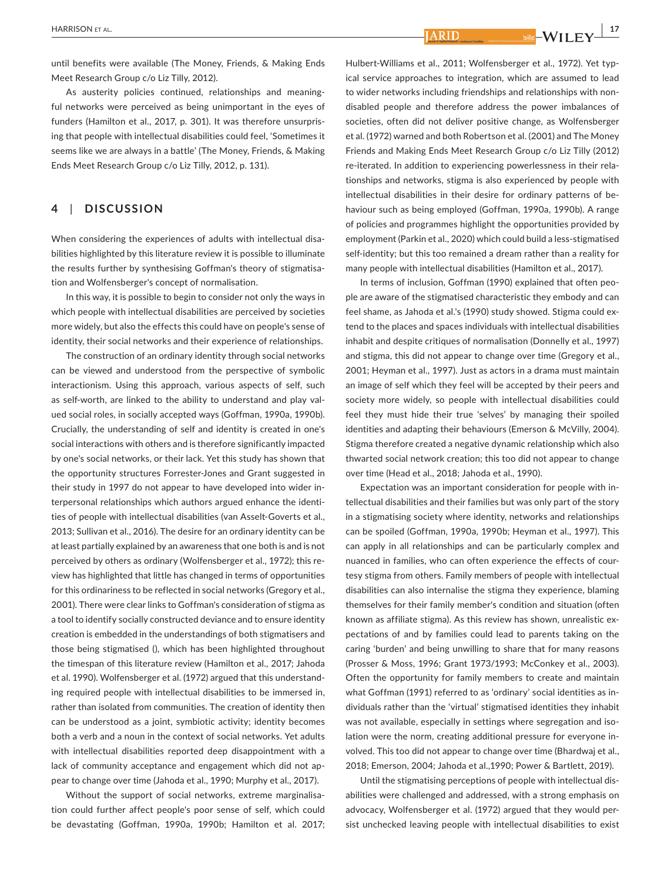ARID

until benefits were available (The Money, Friends, & Making Ends Meet Research Group c/o Liz Tilly, 2012).

As austerity policies continued, relationships and meaningful networks were perceived as being unimportant in the eyes of funders (Hamilton et al., 2017, p. 301). It was therefore unsurprising that people with intellectual disabilities could feel, 'Sometimes it seems like we are always in a battle' (The Money, Friends, & Making Ends Meet Research Group c/o Liz Tilly, 2012, p. 131).

# **4**  | **DISCUSSION**

When considering the experiences of adults with intellectual disabilities highlighted by this literature review it is possible to illuminate the results further by synthesising Goffman's theory of stigmatisation and Wolfensberger's concept of normalisation.

In this way, it is possible to begin to consider not only the ways in which people with intellectual disabilities are perceived by societies more widely, but also the effects this could have on people's sense of identity, their social networks and their experience of relationships.

The construction of an ordinary identity through social networks can be viewed and understood from the perspective of symbolic interactionism. Using this approach, various aspects of self, such as self-worth, are linked to the ability to understand and play valued social roles, in socially accepted ways (Goffman, 1990a, 1990b). Crucially, the understanding of self and identity is created in one's social interactions with others and is therefore significantly impacted by one's social networks, or their lack. Yet this study has shown that the opportunity structures Forrester-Jones and Grant suggested in their study in 1997 do not appear to have developed into wider interpersonal relationships which authors argued enhance the identities of people with intellectual disabilities (van Asselt-Goverts et al., 2013; Sullivan et al., 2016). The desire for an ordinary identity can be at least partially explained by an awareness that one both is and is not perceived by others as ordinary (Wolfensberger et al., 1972); this review has highlighted that little has changed in terms of opportunities for this ordinariness to be reflected in social networks (Gregory et al., 2001). There were clear links to Goffman's consideration of stigma as a tool to identify socially constructed deviance and to ensure identity creation is embedded in the understandings of both stigmatisers and those being stigmatised (), which has been highlighted throughout the timespan of this literature review (Hamilton et al., 2017; Jahoda et al. 1990). Wolfensberger et al. (1972) argued that this understanding required people with intellectual disabilities to be immersed in, rather than isolated from communities. The creation of identity then can be understood as a joint, symbiotic activity; identity becomes both a verb and a noun in the context of social networks. Yet adults with intellectual disabilities reported deep disappointment with a lack of community acceptance and engagement which did not appear to change over time (Jahoda et al., 1990; Murphy et al., 2017).

Without the support of social networks, extreme marginalisation could further affect people's poor sense of self, which could be devastating (Goffman, 1990a, 1990b; Hamilton et al. 2017;

Hulbert-Williams et al., 2011; Wolfensberger et al., 1972). Yet typical service approaches to integration, which are assumed to lead to wider networks including friendships and relationships with nondisabled people and therefore address the power imbalances of societies, often did not deliver positive change, as Wolfensberger et al. (1972) warned and both Robertson et al. (2001) and The Money Friends and Making Ends Meet Research Group c/o Liz Tilly (2012) re-iterated. In addition to experiencing powerlessness in their relationships and networks, stigma is also experienced by people with intellectual disabilities in their desire for ordinary patterns of behaviour such as being employed (Goffman, 1990a, 1990b). A range of policies and programmes highlight the opportunities provided by employment (Parkin et al., 2020) which could build a less-stigmatised self-identity; but this too remained a dream rather than a reality for many people with intellectual disabilities (Hamilton et al., 2017).

In terms of inclusion, Goffman (1990) explained that often people are aware of the stigmatised characteristic they embody and can feel shame, as Jahoda et al.'s (1990) study showed. Stigma could extend to the places and spaces individuals with intellectual disabilities inhabit and despite critiques of normalisation (Donnelly et al., 1997) and stigma, this did not appear to change over time (Gregory et al., 2001; Heyman et al., 1997). Just as actors in a drama must maintain an image of self which they feel will be accepted by their peers and society more widely, so people with intellectual disabilities could feel they must hide their true 'selves' by managing their spoiled identities and adapting their behaviours (Emerson & McVilly, 2004). Stigma therefore created a negative dynamic relationship which also thwarted social network creation; this too did not appear to change over time (Head et al., 2018; Jahoda et al., 1990).

Expectation was an important consideration for people with intellectual disabilities and their families but was only part of the story in a stigmatising society where identity, networks and relationships can be spoiled (Goffman, 1990a, 1990b; Heyman et al., 1997). This can apply in all relationships and can be particularly complex and nuanced in families, who can often experience the effects of courtesy stigma from others. Family members of people with intellectual disabilities can also internalise the stigma they experience, blaming themselves for their family member's condition and situation (often known as affiliate stigma). As this review has shown, unrealistic expectations of and by families could lead to parents taking on the caring 'burden' and being unwilling to share that for many reasons (Prosser & Moss, 1996; Grant 1973/1993; McConkey et al., 2003). Often the opportunity for family members to create and maintain what Goffman (1991) referred to as 'ordinary' social identities as individuals rather than the 'virtual' stigmatised identities they inhabit was not available, especially in settings where segregation and isolation were the norm, creating additional pressure for everyone involved. This too did not appear to change over time (Bhardwaj et al., 2018; Emerson, 2004; Jahoda et al.,1990; Power & Bartlett, 2019).

Until the stigmatising perceptions of people with intellectual disabilities were challenged and addressed, with a strong emphasis on advocacy, Wolfensberger et al. (1972) argued that they would persist unchecked leaving people with intellectual disabilities to exist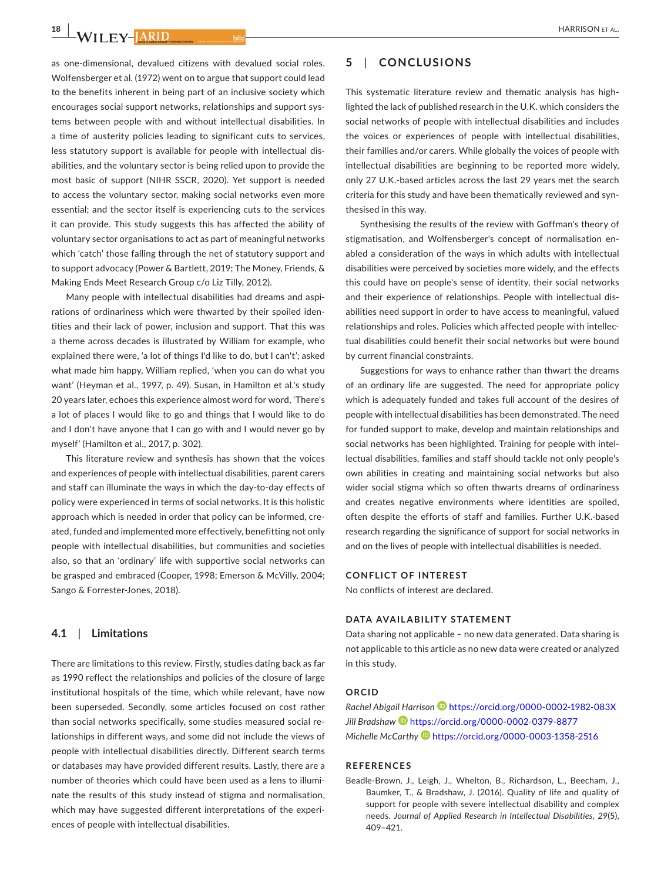$\frac{18}{18}$  W<sub>II</sub> FY-HARID

as one-dimensional, devalued citizens with devalued social roles. Wolfensberger et al. (1972) went on to argue that support could lead to the benefits inherent in being part of an inclusive society which encourages social support networks, relationships and support systems between people with and without intellectual disabilities. In a time of austerity policies leading to significant cuts to services, less statutory support is available for people with intellectual disabilities, and the voluntary sector is being relied upon to provide the most basic of support (NIHR SSCR, 2020). Yet support is needed to access the voluntary sector, making social networks even more essential; and the sector itself is experiencing cuts to the services it can provide. This study suggests this has affected the ability of voluntary sector organisations to act as part of meaningful networks which 'catch' those falling through the net of statutory support and to support advocacy (Power & Bartlett, 2019; The Money, Friends, & Making Ends Meet Research Group c/o Liz Tilly, 2012).

Many people with intellectual disabilities had dreams and aspirations of ordinariness which were thwarted by their spoiled identities and their lack of power, inclusion and support. That this was a theme across decades is illustrated by William for example, who explained there were, 'a lot of things I'd like to do, but I can't'; asked what made him happy, William replied, 'when you can do what you want' (Heyman et al., 1997, p. 49). Susan, in Hamilton et al.'s study 20 years later, echoes this experience almost word for word, 'There's a lot of places I would like to go and things that I would like to do and I don't have anyone that I can go with and I would never go by myself' (Hamilton et al., 2017, p. 302).

This literature review and synthesis has shown that the voices and experiences of people with intellectual disabilities, parent carers and staff can illuminate the ways in which the day-to-day effects of policy were experienced in terms of social networks. It is this holistic approach which is needed in order that policy can be informed, created, funded and implemented more effectively, benefitting not only people with intellectual disabilities, but communities and societies also, so that an 'ordinary' life with supportive social networks can be grasped and embraced (Cooper, 1998; Emerson & McVilly, 2004; Sango & Forrester-Jones, 2018).

## **4.1**  | **Limitations**

There are limitations to this review. Firstly, studies dating back as far as 1990 reflect the relationships and policies of the closure of large institutional hospitals of the time, which while relevant, have now been superseded. Secondly, some articles focused on cost rather than social networks specifically, some studies measured social relationships in different ways, and some did not include the views of people with intellectual disabilities directly. Different search terms or databases may have provided different results. Lastly, there are a number of theories which could have been used as a lens to illuminate the results of this study instead of stigma and normalisation, which may have suggested different interpretations of the experiences of people with intellectual disabilities.

# **5**  | **CONCLUSIONS**

This systematic literature review and thematic analysis has highlighted the lack of published research in the U.K. which considers the social networks of people with intellectual disabilities and includes the voices or experiences of people with intellectual disabilities, their families and/or carers. While globally the voices of people with intellectual disabilities are beginning to be reported more widely, only 27 U.K.-based articles across the last 29 years met the search criteria for this study and have been thematically reviewed and synthesised in this way.

Synthesising the results of the review with Goffman's theory of stigmatisation, and Wolfensberger's concept of normalisation enabled a consideration of the ways in which adults with intellectual disabilities were perceived by societies more widely, and the effects this could have on people's sense of identity, their social networks and their experience of relationships. People with intellectual disabilities need support in order to have access to meaningful, valued relationships and roles. Policies which affected people with intellectual disabilities could benefit their social networks but were bound by current financial constraints.

Suggestions for ways to enhance rather than thwart the dreams of an ordinary life are suggested. The need for appropriate policy which is adequately funded and takes full account of the desires of people with intellectual disabilities has been demonstrated. The need for funded support to make, develop and maintain relationships and social networks has been highlighted. Training for people with intellectual disabilities, families and staff should tackle not only people's own abilities in creating and maintaining social networks but also wider social stigma which so often thwarts dreams of ordinariness and creates negative environments where identities are spoiled, often despite the efforts of staff and families. Further U.K.-based research regarding the significance of support for social networks in and on the lives of people with intellectual disabilities is needed.

#### **CONFLICT OF INTEREST**

No conflicts of interest are declared.

#### **DATA AVAILABILITY STATEMENT**

Data sharing not applicable – no new data generated. Data sharing is not applicable to this article as no new data were created or analyzed in this study.

#### **ORCID**

*Rachel Abigail Harrison* <https://orcid.org/0000-0002-1982-083X> *Jill Bradshaw* <https://orcid.org/0000-0002-0379-8877> *Michelle McCarth[y](https://orcid.org/0000-0003-1358-2516)* <https://orcid.org/0000-0003-1358-2516>

#### **REFERENCES**

Beadle-Brown, J., Leigh, J., Whelton, B., Richardson, L., Beecham, J., Baumker, T., & Bradshaw, J. (2016). Quality of life and quality of support for people with severe intellectual disability and complex needs. *Journal of Applied Research in Intellectual Disabilities*, *29*(5), 409–421.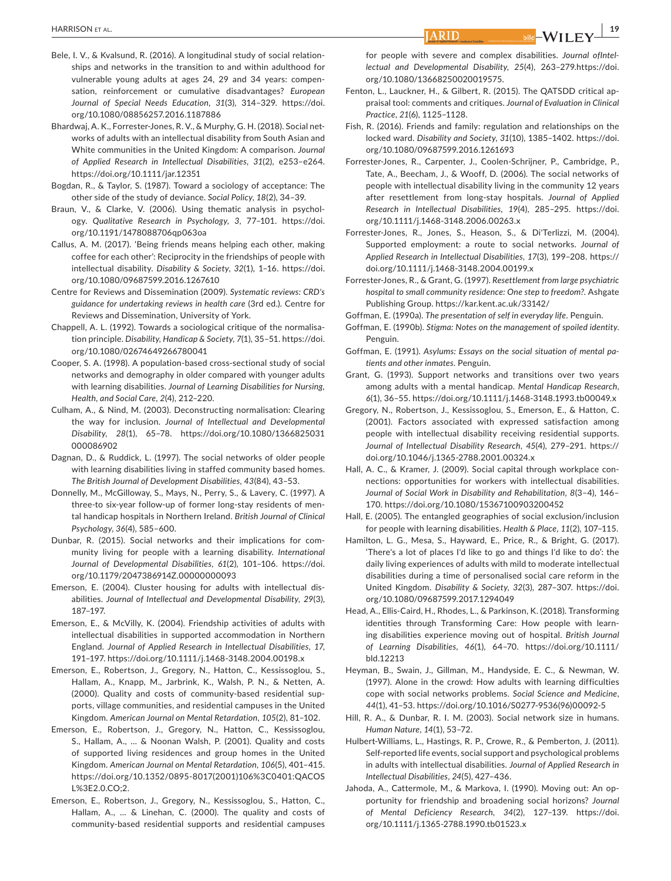- Bele, I. V., & Kvalsund, R. (2016). A longitudinal study of social relationships and networks in the transition to and within adulthood for vulnerable young adults at ages 24, 29 and 34 years: compensation, reinforcement or cumulative disadvantages? *European Journal of Special Needs Education*, *31*(3), 314–329. [https://doi.](https://doi.org/10.1080/08856257.2016.1187886) [org/10.1080/08856257.2016.1187886](https://doi.org/10.1080/08856257.2016.1187886)
- Bhardwaj, A. K., Forrester-Jones, R. V., & Murphy, G. H. (2018). Social networks of adults with an intellectual disability from South Asian and White communities in the United Kingdom: A comparison. *Journal of Applied Research in Intellectual Disabilities*, *31*(2), e253–e264. <https://doi.org/10.1111/jar.12351>
- Bogdan, R., & Taylor, S. (1987). Toward a sociology of acceptance: The other side of the study of deviance. *Social Policy*, *18*(2), 34–39.
- Braun, V., & Clarke, V. (2006). Using thematic analysis in psychology. *Qualitative Research in Psychology*, *3*, 77–101. [https://doi.](https://doi.org/10.1191/1478088706qp063oa) [org/10.1191/1478088706qp063oa](https://doi.org/10.1191/1478088706qp063oa)
- Callus, A. M. (2017). 'Being friends means helping each other, making coffee for each other': Reciprocity in the friendships of people with intellectual disability. *Disability & Society*, *32*(1), 1–16. [https://doi.](https://doi.org/10.1080/09687599.2016.1267610) [org/10.1080/09687599.2016.1267610](https://doi.org/10.1080/09687599.2016.1267610)
- Centre for Reviews and Dissemination (2009). *Systematic reviews: CRD's guidance for undertaking reviews in health care* (3rd ed.). Centre for Reviews and Dissemination, University of York.
- Chappell, A. L. (1992). Towards a sociological critique of the normalisation principle. *Disability, Handicap & Society*, *7*(1), 35–51. [https://doi.](https://doi.org/10.1080/02674649266780041) [org/10.1080/02674649266780041](https://doi.org/10.1080/02674649266780041)
- Cooper, S. A. (1998). A population-based cross-sectional study of social networks and demography in older compared with younger adults with learning disabilities. *Journal of Learning Disabilities for Nursing, Health, and Social Care*, *2*(4), 212–220.
- Culham, A., & Nind, M. (2003). Deconstructing normalisation: Clearing the way for inclusion. *Journal of Intellectual and Developmental Disability*, *28*(1), 65–78. [https://doi.org/10.1080/1366825031](https://doi.org/10.1080/1366825031000086902) [000086902](https://doi.org/10.1080/1366825031000086902)
- Dagnan, D., & Ruddick, L. (1997). The social networks of older people with learning disabilities living in staffed community based homes. *The British Journal of Development Disabilities*, *43*(84), 43–53.
- Donnelly, M., McGilloway, S., Mays, N., Perry, S., & Lavery, C. (1997). A three-to six-year follow-up of former long-stay residents of mental handicap hospitals in Northern Ireland. *British Journal of Clinical Psychology*, *36*(4), 585–600.
- Dunbar, R. (2015). Social networks and their implications for community living for people with a learning disability. *International Journal of Developmental Disabilities*, *61*(2), 101–106. [https://doi.](https://doi.org/10.1179/2047386914Z.00000000093) [org/10.1179/2047386914Z.00000000093](https://doi.org/10.1179/2047386914Z.00000000093)
- Emerson, E. (2004). Cluster housing for adults with intellectual disabilities. *Journal of Intellectual and Developmental Disability*, *29*(3), 187–197.
- Emerson, E., & McVilly, K. (2004). Friendship activities of adults with intellectual disabilities in supported accommodation in Northern England. *Journal of Applied Research in Intellectual Disabilities*, *17*, 191–197. <https://doi.org/10.1111/j.1468-3148.2004.00198.x>
- Emerson, E., Robertson, J., Gregory, N., Hatton, C., Kessissoglou, S., Hallam, A., Knapp, M., Jarbrink, K., Walsh, P. N., & Netten, A. (2000). Quality and costs of community-based residential supports, village communities, and residential campuses in the United Kingdom. *American Journal on Mental Retardation*, *105*(2), 81–102.
- Emerson, E., Robertson, J., Gregory, N., Hatton, C., Kessissoglou, S., Hallam, A., … & Noonan Walsh, P. (2001). Quality and costs of supported living residences and group homes in the United Kingdom. *American Journal on Mental Retardation*, *106*(5), 401–415. [https://doi.org/10.1352/0895-8017\(2001\)106%3C0401:QACOS](https://doi.org/10.1352/0895-8017(2001)106%3C0401:QACOSL%3E2.0.CO;2) [L%3E2.0.CO;2](https://doi.org/10.1352/0895-8017(2001)106%3C0401:QACOSL%3E2.0.CO;2).
- Emerson, E., Robertson, J., Gregory, N., Kessissoglou, S., Hatton, C., Hallam, A., … & Linehan, C. (2000). The quality and costs of community-based residential supports and residential campuses

for people with severe and complex disabilities. *Journal ofIntellectual and Developmental Disability*, *25*(4), 263–279.[https://doi.](https://doi.org/10.1080/13668250020019575) [org/10.1080/13668250020019575.](https://doi.org/10.1080/13668250020019575)

- Fenton, L., Lauckner, H., & Gilbert, R. (2015). The QATSDD critical appraisal tool: comments and critiques. *Journal of Evaluation in Clinical Practice*, *21*(6), 1125–1128.
- Fish, R. (2016). Friends and family: regulation and relationships on the locked ward. *Disability and Society*, *31*(10), 1385–1402. [https://doi.](https://doi.org/10.1080/09687599.2016.1261693) [org/10.1080/09687599.2016.1261693](https://doi.org/10.1080/09687599.2016.1261693)
- Forrester-Jones, R., Carpenter, J., Coolen-Schrijner, P., Cambridge, P., Tate, A., Beecham, J., & Wooff, D. (2006). The social networks of people with intellectual disability living in the community 12 years after resettlement from long-stay hospitals. *Journal of Applied Research in Intellectual Disabilities*, *19*(4), 285–295. [https://doi.](https://doi.org/10.1111/j.1468-3148.2006.00263.x) [org/10.1111/j.1468-3148.2006.00263.x](https://doi.org/10.1111/j.1468-3148.2006.00263.x)
- Forrester-Jones, R., Jones, S., Heason, S., & Di'Terlizzi, M. (2004). Supported employment: a route to social networks. *Journal of Applied Research in Intellectual Disabilities*, *17*(3), 199–208. [https://](https://doi.org/10.1111/j.1468-3148.2004.00199.x) [doi.org/10.1111/j.1468-3148.2004.00199.x](https://doi.org/10.1111/j.1468-3148.2004.00199.x)
- Forrester-Jones, R., & Grant, G. (1997). *Resettlement from large psychiatric hospital to small community residence: One step to freedom?*. Ashgate Publishing Group. <https://kar.kent.ac.uk/33142/>
- Goffman, E. (1990a). *The presentation of self in everyday life*. Penguin.
- Goffman, E. (1990b). *Stigma: Notes on the management of spoiled identity*. Penguin.
- Goffman, E. (1991). *Asylums: Essays on the social situation of mental patients and other inmates*. Penguin.
- Grant, G. (1993). Support networks and transitions over two years among adults with a mental handicap. *Mental Handicap Research*, *6*(1), 36–55.<https://doi.org/10.1111/j.1468-3148.1993.tb00049.x>
- Gregory, N., Robertson, J., Kessissoglou, S., Emerson, E., & Hatton, C. (2001). Factors associated with expressed satisfaction among people with intellectual disability receiving residential supports. *Journal of Intellectual Disability Research*, *45*(4), 279–291. [https://](https://doi.org/10.1046/j.1365-2788.2001.00324.x) [doi.org/10.1046/j.1365-2788.2001.00324.x](https://doi.org/10.1046/j.1365-2788.2001.00324.x)
- Hall, A. C., & Kramer, J. (2009). Social capital through workplace connections: opportunities for workers with intellectual disabilities. *Journal of Social Work in Disability and Rehabilitation*, *8*(3–4), 146– 170. <https://doi.org/10.1080/15367100903200452>
- Hall, E. (2005). The entangled geographies of social exclusion/inclusion for people with learning disabilities. *Health & Place*, *11*(2), 107–115.
- Hamilton, L. G., Mesa, S., Hayward, E., Price, R., & Bright, G. (2017). 'There's a lot of places I'd like to go and things I'd like to do': the daily living experiences of adults with mild to moderate intellectual disabilities during a time of personalised social care reform in the United Kingdom. *Disability & Society*, *32*(3), 287–307. [https://doi.](https://doi.org/10.1080/09687599.2017.1294049) [org/10.1080/09687599.2017.1294049](https://doi.org/10.1080/09687599.2017.1294049)
- Head, A., Ellis-Caird, H., Rhodes, L., & Parkinson, K. (2018). Transforming identities through Transforming Care: How people with learning disabilities experience moving out of hospital. *British Journal of Learning Disabilities*, *46*(1), 64–70. [https://doi.org/10.1111/](https://doi.org/10.1111/bld.12213) [bld.12213](https://doi.org/10.1111/bld.12213)
- Heyman, B., Swain, J., Gillman, M., Handyside, E. C., & Newman, W. (1997). Alone in the crowd: How adults with learning difficulties cope with social networks problems. *Social Science and Medicine*, *44*(1), 41–53. [https://doi.org/10.1016/S0277-9536\(96\)00092-5](https://doi.org/10.1016/S0277-9536(96)00092-5)
- Hill, R. A., & Dunbar, R. I. M. (2003). Social network size in humans. *Human Nature*, *14*(1), 53–72.
- Hulbert-Williams, L., Hastings, R. P., Crowe, R., & Pemberton, J. (2011). Self-reported life events, social support and psychological problems in adults with intellectual disabilities. *Journal of Applied Research in Intellectual Disabilities*, *24*(5), 427–436.
- Jahoda, A., Cattermole, M., & Markova, I. (1990). Moving out: An opportunity for friendship and broadening social horizons? *Journal of Mental Deficiency Research*, *34*(2), 127–139. [https://doi.](https://doi.org/10.1111/j.1365-2788.1990.tb01523.x) [org/10.1111/j.1365-2788.1990.tb01523.x](https://doi.org/10.1111/j.1365-2788.1990.tb01523.x)